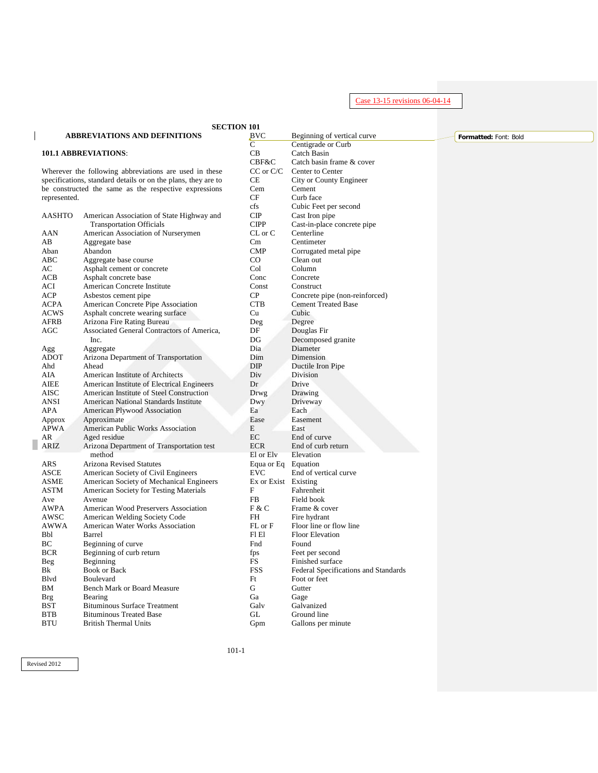Case 13-15 revisions 06-04-14

|                   | <b>SECTION 101</b>                                                                     |                    |                                               |                       |
|-------------------|----------------------------------------------------------------------------------------|--------------------|-----------------------------------------------|-----------------------|
|                   | <b>ABBREVIATIONS AND DEFINITIONS</b>                                                   | BVC                | Beginning of vertical curve                   | Formatted: Font: Bold |
|                   |                                                                                        | C                  | Centigrade or Curb                            |                       |
|                   | <b>101.1 ABBREVIATIONS:</b>                                                            | CB                 | Catch Basin                                   |                       |
|                   |                                                                                        | CBF&C              | Catch basin frame & cover                     |                       |
|                   | Wherever the following abbreviations are used in these                                 | $CC$ or $C/C$      | Center to Center                              |                       |
|                   | specifications, standard details or on the plans, they are to                          | CE                 | City or County Engineer                       |                       |
|                   | be constructed the same as the respective expressions                                  | Cem                | Cement                                        |                       |
| represented.      |                                                                                        | CF                 | Curb face                                     |                       |
|                   |                                                                                        | cfs                | Cubic Feet per second                         |                       |
| <b>AASHTO</b>     | American Association of State Highway and<br><b>Transportation Officials</b>           | CIP<br><b>CIPP</b> | Cast Iron pipe<br>Cast-in-place concrete pipe |                       |
| AAN               | American Association of Nurserymen                                                     | $CL$ or $C$        | Centerline                                    |                       |
| AB                | Aggregate base                                                                         | Cm                 | Centimeter                                    |                       |
| Aban              | Abandon                                                                                | <b>CMP</b>         | Corrugated metal pipe                         |                       |
| ABC               | Aggregate base course                                                                  | $_{\rm CO}$        | Clean out                                     |                       |
| AC                | Asphalt cement or concrete                                                             | Col                | Column                                        |                       |
| ACB               | Asphalt concrete base                                                                  | Conc               | Concrete                                      |                       |
| ACI               | American Concrete Institute                                                            | Const              | Construct                                     |                       |
| <b>ACP</b>        | Asbestos cement pipe                                                                   | CP                 | Concrete pipe (non-reinforced)                |                       |
| <b>ACPA</b>       | American Concrete Pipe Association                                                     | <b>CTB</b>         | <b>Cement Treated Base</b>                    |                       |
| <b>ACWS</b>       | Asphalt concrete wearing surface                                                       | Cu                 | Cubic                                         |                       |
| AFRB              | Arizona Fire Rating Bureau                                                             | Deg                | Degree                                        |                       |
| AGC               | Associated General Contractors of America,                                             | DF                 | Douglas Fir                                   |                       |
|                   | Inc.                                                                                   | DG                 | Decomposed granite                            |                       |
| Agg               | Aggregate                                                                              | Dia                | Diameter                                      |                       |
| <b>ADOT</b>       | Arizona Department of Transportation                                                   | Dim                | Dimension                                     |                       |
| Ahd               | Ahead                                                                                  | <b>DIP</b>         | Ductile Iron Pipe                             |                       |
| AIA               | American Institute of Architects                                                       | Div                | <b>Division</b>                               |                       |
| AIEE              | American Institute of Electrical Engineers<br>American Institute of Steel Construction | Dr                 | Drive                                         |                       |
| AISC<br>ANSI      | <b>American National Standards Institute</b>                                           | Drwg<br>Dwy        | Drawing<br>Driveway                           |                       |
| APA               | American Plywood Association                                                           | Ea                 | Each                                          |                       |
| Approx            | Approximate                                                                            | Ease               | Easement                                      |                       |
| <b>APWA</b>       | American Public Works Association                                                      | E                  | East                                          |                       |
| AR                | Aged residue                                                                           | EC                 | End of curve                                  |                       |
| ARIZ              | Arizona Department of Transportation test                                              | <b>ECR</b>         | End of curb return                            |                       |
|                   | method                                                                                 | El or Elv          | Elevation                                     |                       |
| <b>ARS</b>        | Arizona Revised Statutes                                                               | Equa or Eq         | Equation                                      |                       |
| <b>ASCE</b>       | American Society of Civil Engineers                                                    | <b>EVC</b>         | End of vertical curve                         |                       |
| <b>ASME</b>       | American Society of Mechanical Engineers                                               | Ex or Exist        | Existing                                      |                       |
| <b>ASTM</b>       | American Society for Testing Materials                                                 | F                  | Fahrenheit                                    |                       |
| Ave               | Avenue                                                                                 | FB                 | Field book                                    |                       |
| AWPA              | American Wood Preservers Association                                                   | F & C              | Frame & cover                                 |                       |
| AWSC              | American Welding Society Code                                                          | FH                 | Fire hydrant                                  |                       |
| AWWA              | American Water Works Association                                                       | FL or F            | Floor line or flow line                       |                       |
| Bbl               | Barrel                                                                                 | FI EI              | <b>Floor Elevation</b>                        |                       |
| BС                | Beginning of curve                                                                     | Fnd                | Found                                         |                       |
| <b>BCR</b><br>Beg | Beginning of curb return                                                               | fps<br>$_{\rm FS}$ | Feet per second<br>Finished surface           |                       |
| Bk                | Beginning<br><b>Book or Back</b>                                                       | <b>FSS</b>         | Federal Specifications and Standards          |                       |
| Blvd              | Boulevard                                                                              | Ft                 | Foot or feet                                  |                       |
| BM                | <b>Bench Mark or Board Measure</b>                                                     | G                  | Gutter                                        |                       |
| <b>Brg</b>        | Bearing                                                                                | Ga                 | Gage                                          |                       |
| <b>BST</b>        | <b>Bituminous Surface Treatment</b>                                                    | Galv               | Galvanized                                    |                       |
| <b>BTB</b>        | <b>Bituminous Treated Base</b>                                                         | GL                 | Ground line                                   |                       |
| <b>BTU</b>        | <b>British Thermal Units</b>                                                           | Gpm                | Gallons per minute                            |                       |
|                   |                                                                                        |                    |                                               |                       |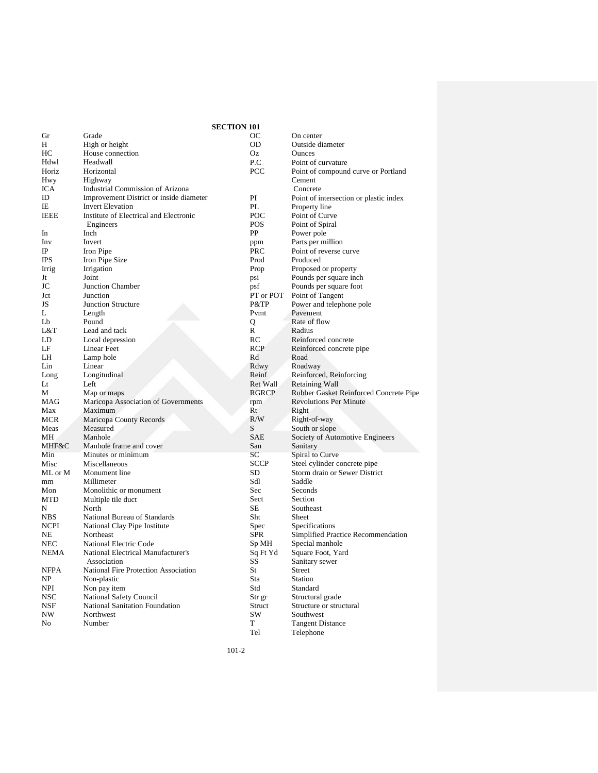|                |                                           | <b>SECTION 101</b> |             |
|----------------|-------------------------------------------|--------------------|-------------|
| Gr             | Grade                                     |                    | OС          |
| Н              | High or height                            |                    | OD          |
| HС             | House connection                          |                    | Oz          |
| Hdwl           | Headwall                                  |                    | P.C         |
| Horiz          | Horizontal                                |                    | PCC         |
| Hwy            | Highway                                   |                    |             |
| ICA            | <b>Industrial Commission of Arizona</b>   |                    |             |
| ID             | Improvement District or inside diameter   |                    | PI          |
| IE             | <b>Invert Elevation</b>                   |                    | PL          |
| <b>IEEE</b>    | Institute of Electrical and Electronic    |                    | POC         |
|                | Engineers                                 |                    | <b>POS</b>  |
| In             | Inch                                      |                    | PP          |
| Inv            | Invert                                    |                    | ppm         |
| IP             | Iron Pipe                                 |                    | PRC         |
| <b>IPS</b>     | Iron Pipe Size                            |                    | Prod        |
| Irrig          | Irrigation                                |                    | Prop        |
| Jt             | Joint                                     |                    | psi         |
| JC             | <b>Junction Chamber</b>                   |                    | psf         |
| Jct            | Junction                                  |                    | PT or       |
| JS             | <b>Junction Structure</b>                 |                    | P&TF        |
| L              | Length                                    |                    | Pvmt        |
| L <sub>b</sub> | Pound                                     |                    | Q           |
| L&T            | Lead and tack                             |                    | R           |
| LD             | Local depression                          |                    | RC          |
| LF             | <b>Linear Feet</b>                        |                    | <b>RCP</b>  |
| LH             | Lamp hole                                 |                    | Rd          |
| Lin            | Linear                                    |                    | Rdwy        |
| Long           | Longitudinal                              |                    | Reinf       |
| Lt             | Left                                      |                    | Ret W       |
| М              | Map or maps                               |                    | <b>RGRO</b> |
| MAG            | Maricopa Association of Governments       |                    |             |
| Max            | Maximum                                   |                    | rpm<br>Rt   |
| MCR            | Maricopa County Records                   |                    | R/W         |
| Meas           | Measured                                  |                    | S           |
| MН             | Manhole                                   |                    | SAE         |
| MHF&C          | Manhole frame and cover                   |                    | San         |
| Min            | Minutes or minimum                        |                    | SC          |
| Misc           | Miscellaneous                             |                    | <b>SCCF</b> |
|                |                                           |                    | SD          |
| ML or M<br>mm  | Monument line<br>Millimeter               |                    | Sdl         |
| Mon            | Monolithic or monument                    |                    | Sec         |
| MTD            |                                           |                    | Sect        |
| N              | Multiple tile duct<br>North               |                    | SЕ          |
| <b>NBS</b>     | National Bureau of Standards              |                    | Sht         |
|                |                                           |                    |             |
| NCPI<br>NΕ     | National Clay Pipe Institute<br>Northeast |                    | Spec<br>SPR |
| <b>NEC</b>     | <b>National Electric Code</b>             |                    |             |
|                | National Electrical Manufacturer's        |                    | Sp Ml       |
| NEMA           | Association                               |                    | Sq Ft<br>SS |
| NFPA           | National Fire Protection Association      |                    | St          |
| NP             | Non-plastic                               |                    | Sta         |
| <b>NPI</b>     | Non pay item                              |                    | Std         |
| NSC            | <b>National Safety Council</b>            |                    | Str gr      |
| <b>NSF</b>     | <b>National Sanitation Foundation</b>     |                    | Struct      |
| NW             | Northwest                                 |                    | SW          |
| No             | Number                                    |                    | T           |

On center Outside diameter **Ounces** Point of curvature Point of compound curve or Portland Cement Concrete Point of intersection or plastic index Property line Point of Curve Point of Spiral Power pole Parts per million Point of reverse curve Produced Proposed or property Pounds per square inch Pounds per square foot POT Point of Tangent Power and telephone pole Pavement Rate of flow R Radius Reinforced concrete Reinforced concrete pipe Road Roadway F Reinforced, Reinforcing<br>Vall Retaining Wall Vall Retaining Wall<br>CP Rubber Gasket 1 Rubber Gasket Reinforced Concrete Pipe Revolutions Per Minute Right Right-of-way South or slope Society of Automotive Engineers Sanitary Spiral to Curve Steel cylinder concrete pipe Storm drain or Sewer District Saddle **Seconds** Section Southeast Sheet Specifications Simplified Practice Recommendation<br>IH Special manhole H Special manhole<br>
Yd Square Foot, Yar Square Foot, Yard Sanitary sewer **Street** Station Standard Structural grade Structure or structural Southwest T<br>Tel Tangent Distance<br>Tel Telephone Telephone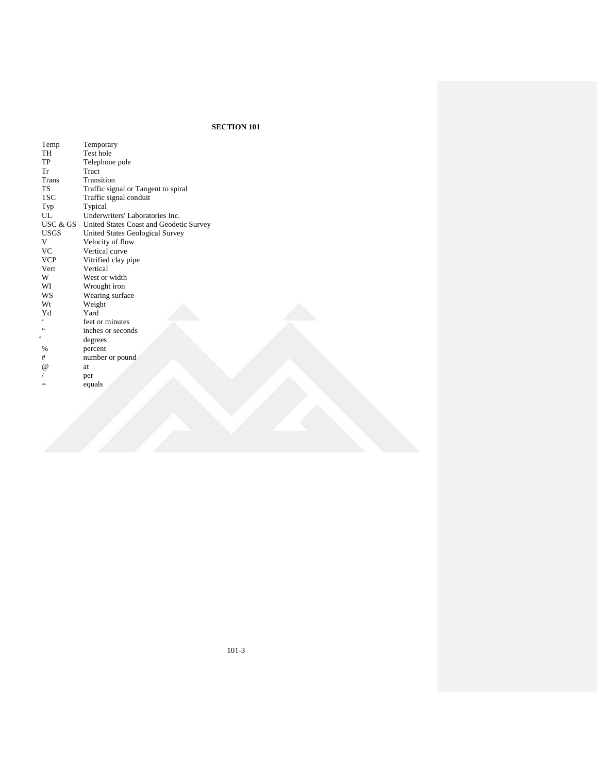| Temp        | Temporary                               |
|-------------|-----------------------------------------|
| <b>TH</b>   | Test hole                               |
| TP          | Telephone pole                          |
| Tr          | Tract                                   |
| Trans       | Transition                              |
| <b>TS</b>   | Traffic signal or Tangent to spiral     |
| TSC         | Traffic signal conduit                  |
| Typ         | Typical                                 |
| UL          | Underwriters' Laboratories Inc.         |
| USC & GS    | United States Coast and Geodetic Survey |
| <b>USGS</b> | United States Geological Survey         |
| V           | Velocity of flow                        |
| <b>VC</b>   | Vertical curve                          |
| <b>VCP</b>  | Vitrified clay pipe                     |
| <b>Vert</b> | Vertical                                |
| W           | West or width                           |
| WI          | Wrought iron                            |
| WS          | Wearing surface                         |
| Wt          | Weight                                  |
| Yd          | Yard                                    |
|             | feet or minutes                         |
| 66          | inches or seconds                       |
| 5           | degrees                                 |
| %           | percent                                 |
| #           | number or pound                         |
| $\omega$    | at.                                     |
|             | per                                     |
|             | equals                                  |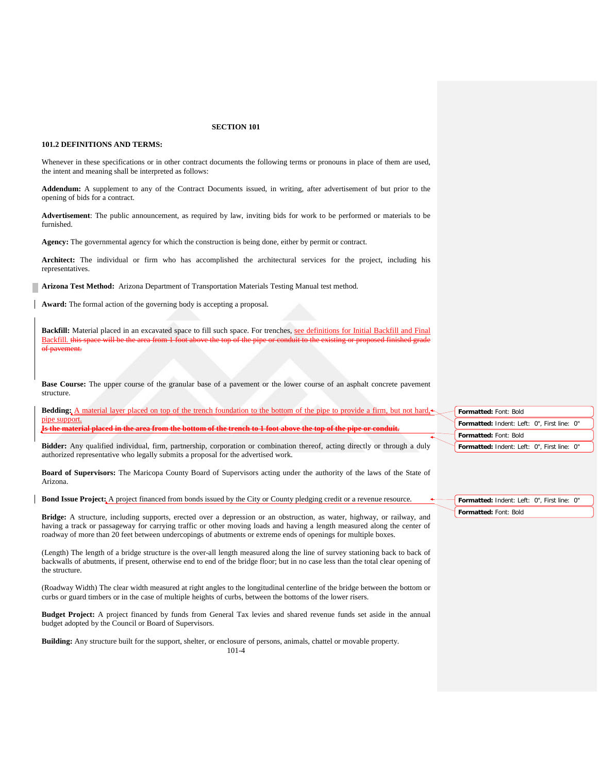### **101.2 DEFINITIONS AND TERMS:**

Whenever in these specifications or in other contract documents the following terms or pronouns in place of them are used, the intent and meaning shall be interpreted as follows:

**Addendum:** A supplement to any of the Contract Documents issued, in writing, after advertisement of but prior to the opening of bids for a contract.

**Advertisement**: The public announcement, as required by law, inviting bids for work to be performed or materials to be furnished.

**Agency:** The governmental agency for which the construction is being done, either by permit or contract.

**Architect:** The individual or firm who has accomplished the architectural services for the project, including his representatives.

**Arizona Test Method:** Arizona Department of Transportation Materials Testing Manual test method.

**Award:** The formal action of the governing body is accepting a proposal.

Backfill: Material placed in an excavated space to fill such space. For trenches, see definitions for Initial Backfill and Final Backfill. this space will be the area from 1 foot above the top of the pipe or conduit to the existing or proposed finished grade ement.

**Base Course:** The upper course of the granular base of a pavement or the lower course of an asphalt concrete pavement structure.

| <b>Bedding:</b> A material layer placed on top of the trench foundation to the bottom of the pipe to provide a firm, but not hard, | Formatted: Font: Bold                       |
|------------------------------------------------------------------------------------------------------------------------------------|---------------------------------------------|
| pipe support.<br>Is the meterial placed in the area from the bottom of the trengt to 1 feet chara the ten of the nine or conduit   | Formatted: Indent: Left: 0", First line: 0" |
|                                                                                                                                    | <b>Formatted: Font: Bold</b>                |
| Bidder: Any qualified individual, firm, partnership, corporation or combination thereof, acting directly or through a duly         | Formatted: Indent: Left: 0", First line: 0" |
| authorized representative who legally submits a proposal for the advertised work.                                                  |                                             |

**Formatted:** Indent: Left: 0", First line: 0"

**Formatted:** Font: Bold

**Board of Supervisors:** The Maricopa County Board of Supervisors acting under the authority of the laws of the State of Arizona.

**Bond Issue Project:** A project financed from bonds issued by the City or County pledging credit or a revenue resource.

**Bridge:** A structure, including supports, erected over a depression or an obstruction, as water, highway, or railway, and having a track or passageway for carrying traffic or other moving loads and having a length measured along the center of roadway of more than 20 feet between undercopings of abutments or extreme ends of openings for multiple boxes.

(Length) The length of a bridge structure is the over-all length measured along the line of survey stationing back to back of backwalls of abutments, if present, otherwise end to end of the bridge floor; but in no case less than the total clear opening of the structure.

(Roadway Width) The clear width measured at right angles to the longitudinal centerline of the bridge between the bottom or curbs or guard timbers or in the case of multiple heights of curbs, between the bottoms of the lower risers.

**Budget Project:** A project financed by funds from General Tax levies and shared revenue funds set aside in the annual budget adopted by the Council or Board of Supervisors.

**Building:** Any structure built for the support, shelter, or enclosure of persons, animals, chattel or movable property.

101-4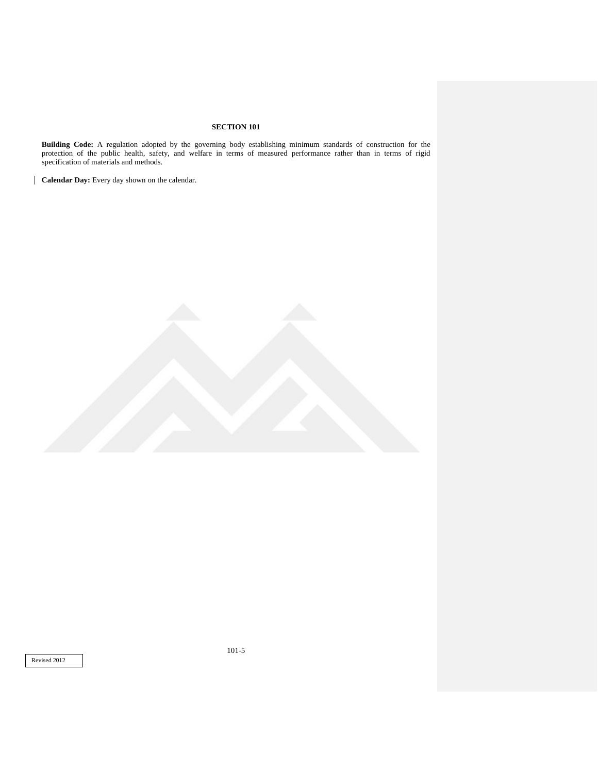**Building Code:** A regulation adopted by the governing body establishing minimum standards of construction for the protection of the public health, safety, and welfare in terms of measured performance rather than in terms of rigid specification of materials and methods.

**Calendar Day:** Every day shown on the calendar.

Revised 2012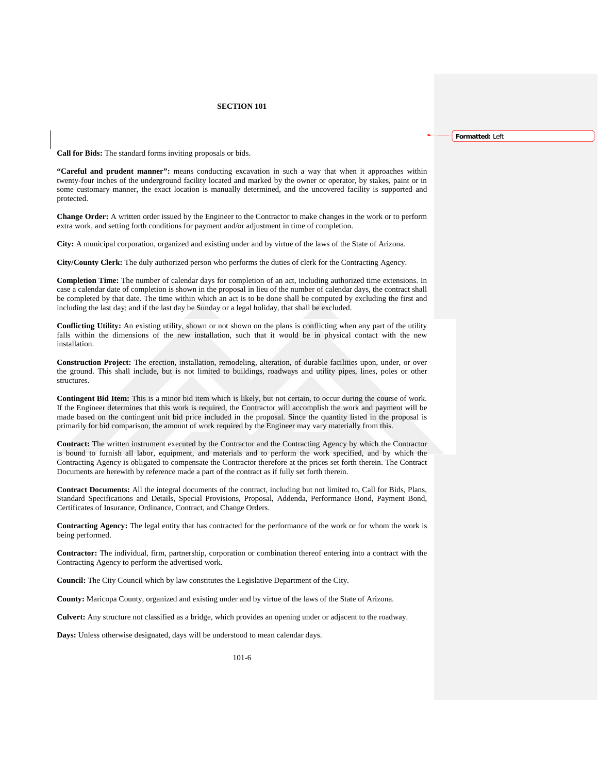**Formatted:** Left

**Call for Bids:** The standard forms inviting proposals or bids.

**"Careful and prudent manner":** means conducting excavation in such a way that when it approaches within twenty-four inches of the underground facility located and marked by the owner or operator, by stakes, paint or in some customary manner, the exact location is manually determined, and the uncovered facility is supported and protected.

**Change Order:** A written order issued by the Engineer to the Contractor to make changes in the work or to perform extra work, and setting forth conditions for payment and/or adjustment in time of completion.

**City:** A municipal corporation, organized and existing under and by virtue of the laws of the State of Arizona.

**City/County Clerk:** The duly authorized person who performs the duties of clerk for the Contracting Agency.

**Completion Time:** The number of calendar days for completion of an act, including authorized time extensions. In case a calendar date of completion is shown in the proposal in lieu of the number of calendar days, the contract shall be completed by that date. The time within which an act is to be done shall be computed by excluding the first and including the last day; and if the last day be Sunday or a legal holiday, that shall be excluded.

**Conflicting Utility:** An existing utility, shown or not shown on the plans is conflicting when any part of the utility falls within the dimensions of the new installation, such that it would be in physical contact with the new installation.

**Construction Project:** The erection, installation, remodeling, alteration, of durable facilities upon, under, or over the ground. This shall include, but is not limited to buildings, roadways and utility pipes, lines, poles or other structures.

**Contingent Bid Item:** This is a minor bid item which is likely, but not certain, to occur during the course of work. If the Engineer determines that this work is required, the Contractor will accomplish the work and payment will be made based on the contingent unit bid price included in the proposal. Since the quantity listed in the proposal is primarily for bid comparison, the amount of work required by the Engineer may vary materially from this.

**Contract:** The written instrument executed by the Contractor and the Contracting Agency by which the Contractor is bound to furnish all labor, equipment, and materials and to perform the work specified, and by which the Contracting Agency is obligated to compensate the Contractor therefore at the prices set forth therein. The Contract Documents are herewith by reference made a part of the contract as if fully set forth therein.

**Contract Documents:** All the integral documents of the contract, including but not limited to, Call for Bids, Plans, Standard Specifications and Details, Special Provisions, Proposal, Addenda, Performance Bond, Payment Bond, Certificates of Insurance, Ordinance, Contract, and Change Orders.

**Contracting Agency:** The legal entity that has contracted for the performance of the work or for whom the work is being performed.

**Contractor:** The individual, firm, partnership, corporation or combination thereof entering into a contract with the Contracting Agency to perform the advertised work.

**Council:** The City Council which by law constitutes the Legislative Department of the City.

**County:** Maricopa County, organized and existing under and by virtue of the laws of the State of Arizona.

**Culvert:** Any structure not classified as a bridge, which provides an opening under or adjacent to the roadway.

**Days:** Unless otherwise designated, days will be understood to mean calendar days.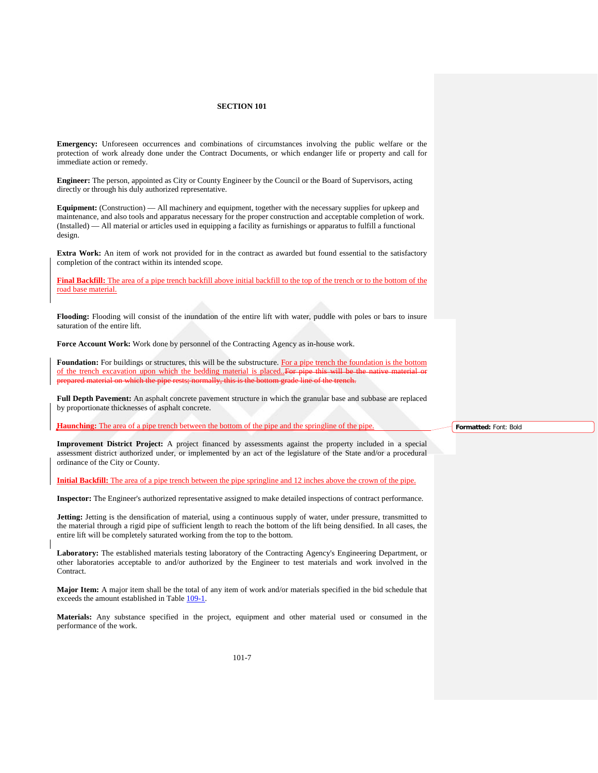**Emergency:** Unforeseen occurrences and combinations of circumstances involving the public welfare or the protection of work already done under the Contract Documents, or which endanger life or property and call for immediate action or remedy.

**Engineer:** The person, appointed as City or County Engineer by the Council or the Board of Supervisors, acting directly or through his duly authorized representative.

**Equipment:** (Construction) — All machinery and equipment, together with the necessary supplies for upkeep and maintenance, and also tools and apparatus necessary for the proper construction and acceptable completion of work. (Installed) — All material or articles used in equipping a facility as furnishings or apparatus to fulfill a functional design.

**Extra Work:** An item of work not provided for in the contract as awarded but found essential to the satisfactory completion of the contract within its intended scope.

**Final Backfill:** The area of a pipe trench backfill above initial backfill to the top of the trench or to the bottom of the road base material.

**Flooding:** Flooding will consist of the inundation of the entire lift with water, puddle with poles or bars to insure saturation of the entire lift.

**Force Account Work:** Work done by personnel of the Contracting Agency as in-house work.

**Foundation:** For buildings or structures, this will be the substructure. For a pipe trench the foundation is the bottom of the trench excavation upon which the bedding material is placed..For pipe this will be material on which the pipe rests; normally, this is the bottom grade line of the tren

**Full Depth Pavement:** An asphalt concrete pavement structure in which the granular base and subbase are replaced by proportionate thicknesses of asphalt concrete.

**Haunching:** The area of a pipe trench between the bottom of the pipe and the springline of the pipe.

**Improvement District Project:** A project financed by assessments against the property included in a special assessment district authorized under, or implemented by an act of the legislature of the State and/or a procedural ordinance of the City or County.

**Initial Backfill:** The area of a pipe trench between the pipe springline and 12 inches above the crown of the pipe.

**Inspector:** The Engineer's authorized representative assigned to make detailed inspections of contract performance.

**Jetting:** Jetting is the densification of material, using a continuous supply of water, under pressure, transmitted to the material through a rigid pipe of sufficient length to reach the bottom of the lift being densified. In all cases, the entire lift will be completely saturated working from the top to the bottom.

**Laboratory:** The established materials testing laboratory of the Contracting Agency's Engineering Department, or other laboratories acceptable to and/or authorized by the Engineer to test materials and work involved in the Contract.

**Major Item:** A major item shall be the total of any item of work and/or materials specified in the bid schedule that exceeds the amount established in Table 109-1.

**Materials:** Any substance specified in the project, equipment and other material used or consumed in the performance of the work.

**Formatted:** Font: Bold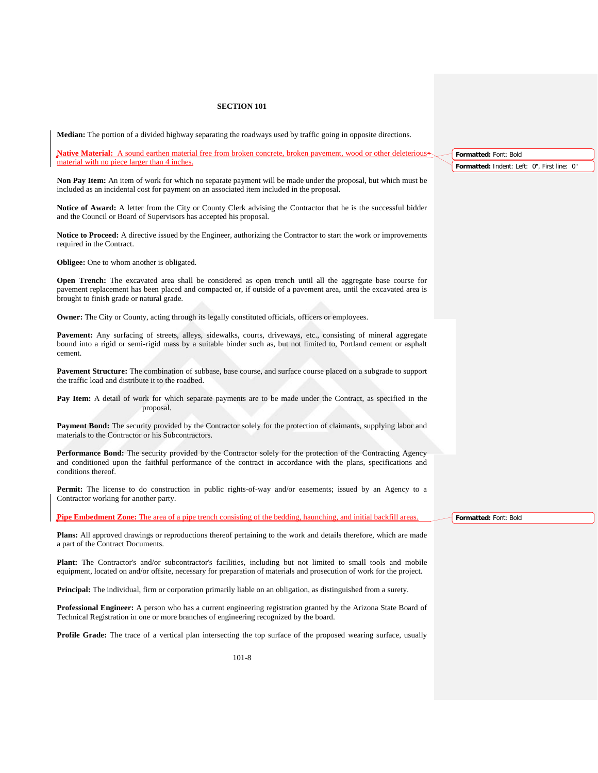**Median:** The portion of a divided highway separating the roadways used by traffic going in opposite directions.

**Native Material:** A sound earthen material free from broken concrete, broken pavement, wood or other deleterious material with no piece larger than 4 inches.

**Non Pay Item:** An item of work for which no separate payment will be made under the proposal, but which must be included as an incidental cost for payment on an associated item included in the proposal.

**Notice of Award:** A letter from the City or County Clerk advising the Contractor that he is the successful bidder and the Council or Board of Supervisors has accepted his proposal.

**Notice to Proceed:** A directive issued by the Engineer, authorizing the Contractor to start the work or improvements required in the Contract.

**Obligee:** One to whom another is obligated.

**Open Trench:** The excavated area shall be considered as open trench until all the aggregate base course for pavement replacement has been placed and compacted or, if outside of a pavement area, until the excavated area is brought to finish grade or natural grade.

**Owner:** The City or County, acting through its legally constituted officials, officers or employees.

**Pavement:** Any surfacing of streets, alleys, sidewalks, courts, driveways, etc., consisting of mineral aggregate bound into a rigid or semi-rigid mass by a suitable binder such as, but not limited to, Portland cement or asphalt cement.

**Pavement Structure:** The combination of subbase, base course, and surface course placed on a subgrade to support the traffic load and distribute it to the roadbed.

**Pay Item:** A detail of work for which separate payments are to be made under the Contract, as specified in the proposal.

**Payment Bond:** The security provided by the Contractor solely for the protection of claimants, supplying labor and materials to the Contractor or his Subcontractors.

**Performance Bond:** The security provided by the Contractor solely for the protection of the Contracting Agency and conditioned upon the faithful performance of the contract in accordance with the plans, specifications and conditions thereof.

**Permit:** The license to do construction in public rights-of-way and/or easements; issued by an Agency to a Contractor working for another party.

**Pipe Embedment Zone:** The area of a pipe trench consisting of the bedding, haunching, and initial backfill areas.

**Plans:** All approved drawings or reproductions thereof pertaining to the work and details therefore, which are made a part of the Contract Documents.

**Plant:** The Contractor's and/or subcontractor's facilities, including but not limited to small tools and mobile equipment, located on and/or offsite, necessary for preparation of materials and prosecution of work for the project.

**Principal:** The individual, firm or corporation primarily liable on an obligation, as distinguished from a surety.

**Professional Engineer:** A person who has a current engineering registration granted by the Arizona State Board of Technical Registration in one or more branches of engineering recognized by the board.

**Profile Grade:** The trace of a vertical plan intersecting the top surface of the proposed wearing surface, usually

**Formatted:** Font: Bold

**Formatted:** Font: Bold **Formatted:** Indent: Left: 0", First line: 0"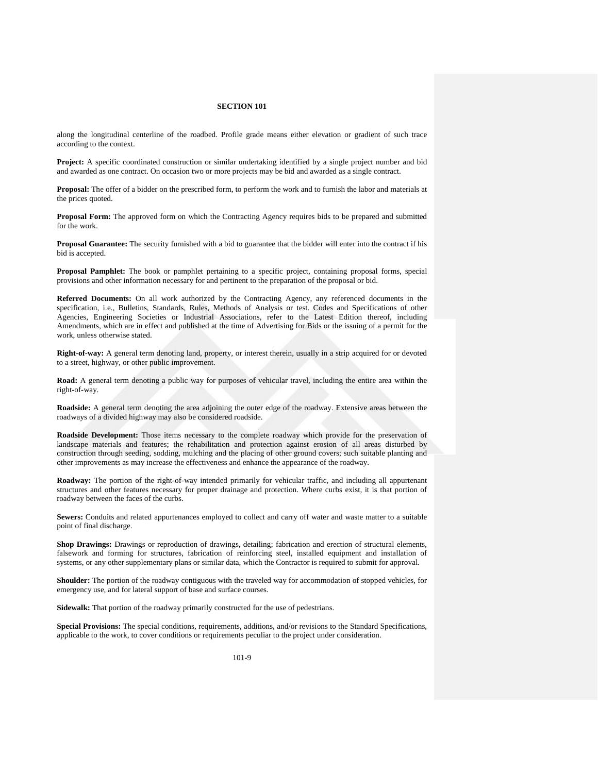along the longitudinal centerline of the roadbed. Profile grade means either elevation or gradient of such trace according to the context.

**Project:** A specific coordinated construction or similar undertaking identified by a single project number and bid and awarded as one contract. On occasion two or more projects may be bid and awarded as a single contract.

**Proposal:** The offer of a bidder on the prescribed form, to perform the work and to furnish the labor and materials at the prices quoted.

**Proposal Form:** The approved form on which the Contracting Agency requires bids to be prepared and submitted for the work.

**Proposal Guarantee:** The security furnished with a bid to guarantee that the bidder will enter into the contract if his bid is accepted.

**Proposal Pamphlet:** The book or pamphlet pertaining to a specific project, containing proposal forms, special provisions and other information necessary for and pertinent to the preparation of the proposal or bid.

**Referred Documents:** On all work authorized by the Contracting Agency, any referenced documents in the specification, i.e., Bulletins, Standards, Rules, Methods of Analysis or test. Codes and Specifications of other Agencies, Engineering Societies or Industrial Associations, refer to the Latest Edition thereof, including Amendments, which are in effect and published at the time of Advertising for Bids or the issuing of a permit for the work, unless otherwise stated.

**Right-of-way:** A general term denoting land, property, or interest therein, usually in a strip acquired for or devoted to a street, highway, or other public improvement.

**Road:** A general term denoting a public way for purposes of vehicular travel, including the entire area within the right-of-way.

**Roadside:** A general term denoting the area adjoining the outer edge of the roadway. Extensive areas between the roadways of a divided highway may also be considered roadside.

**Roadside Development:** Those items necessary to the complete roadway which provide for the preservation of landscape materials and features; the rehabilitation and protection against erosion of all areas disturbed by construction through seeding, sodding, mulching and the placing of other ground covers; such suitable planting and other improvements as may increase the effectiveness and enhance the appearance of the roadway.

**Roadway:** The portion of the right-of-way intended primarily for vehicular traffic, and including all appurtenant structures and other features necessary for proper drainage and protection. Where curbs exist, it is that portion of roadway between the faces of the curbs.

**Sewers:** Conduits and related appurtenances employed to collect and carry off water and waste matter to a suitable point of final discharge.

**Shop Drawings:** Drawings or reproduction of drawings, detailing; fabrication and erection of structural elements, falsework and forming for structures, fabrication of reinforcing steel, installed equipment and installation of systems, or any other supplementary plans or similar data, which the Contractor is required to submit for approval.

**Shoulder:** The portion of the roadway contiguous with the traveled way for accommodation of stopped vehicles, for emergency use, and for lateral support of base and surface courses.

**Sidewalk:** That portion of the roadway primarily constructed for the use of pedestrians.

**Special Provisions:** The special conditions, requirements, additions, and/or revisions to the Standard Specifications, applicable to the work, to cover conditions or requirements peculiar to the project under consideration.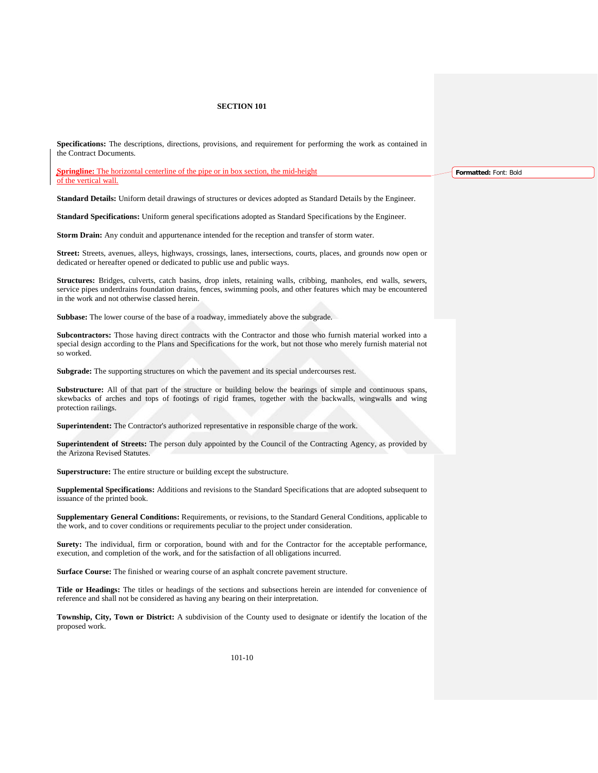**Specifications:** The descriptions, directions, provisions, and requirement for performing the work as contained in the Contract Documents.

**Springline:** The horizontal centerline of the pipe or in box section, the mid-height of the vertical wall.

**Standard Details:** Uniform detail drawings of structures or devices adopted as Standard Details by the Engineer.

**Standard Specifications:** Uniform general specifications adopted as Standard Specifications by the Engineer.

**Storm Drain:** Any conduit and appurtenance intended for the reception and transfer of storm water.

**Street:** Streets, avenues, alleys, highways, crossings, lanes, intersections, courts, places, and grounds now open or dedicated or hereafter opened or dedicated to public use and public ways.

**Structures:** Bridges, culverts, catch basins, drop inlets, retaining walls, cribbing, manholes, end walls, sewers, service pipes underdrains foundation drains, fences, swimming pools, and other features which may be encountered in the work and not otherwise classed herein.

**Subbase:** The lower course of the base of a roadway, immediately above the subgrade.

**Subcontractors:** Those having direct contracts with the Contractor and those who furnish material worked into a special design according to the Plans and Specifications for the work, but not those who merely furnish material not so worked.

**Subgrade:** The supporting structures on which the pavement and its special undercourses rest.

**Substructure:** All of that part of the structure or building below the bearings of simple and continuous spans, skewbacks of arches and tops of footings of rigid frames, together with the backwalls, wingwalls and wing protection railings.

**Superintendent:** The Contractor's authorized representative in responsible charge of the work.

**Superintendent of Streets:** The person duly appointed by the Council of the Contracting Agency, as provided by the Arizona Revised Statutes.

**Superstructure:** The entire structure or building except the substructure.

**Supplemental Specifications:** Additions and revisions to the Standard Specifications that are adopted subsequent to issuance of the printed book.

**Supplementary General Conditions:** Requirements, or revisions, to the Standard General Conditions, applicable to the work, and to cover conditions or requirements peculiar to the project under consideration.

**Surety:** The individual, firm or corporation, bound with and for the Contractor for the acceptable performance, execution, and completion of the work, and for the satisfaction of all obligations incurred.

**Surface Course:** The finished or wearing course of an asphalt concrete pavement structure.

**Title or Headings:** The titles or headings of the sections and subsections herein are intended for convenience of reference and shall not be considered as having any bearing on their interpretation.

**Township, City, Town or District:** A subdivision of the County used to designate or identify the location of the proposed work.

**Formatted:** Font: Bold

101-10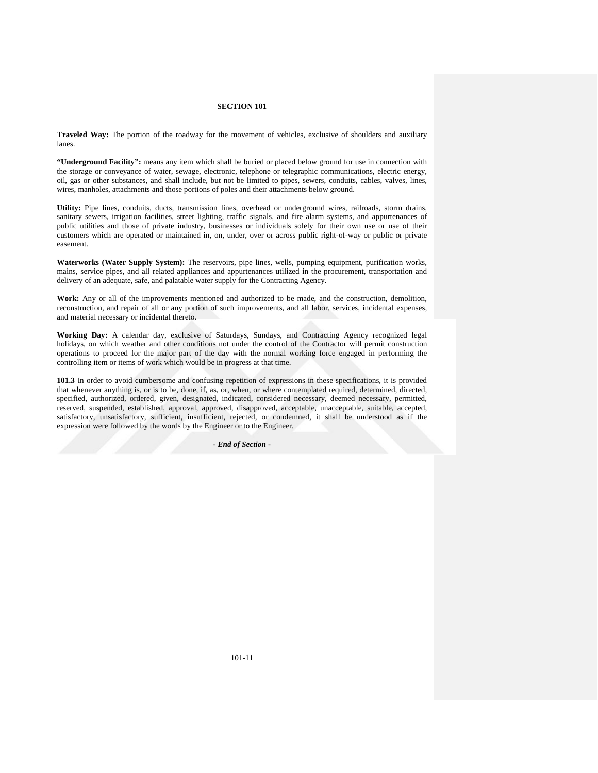**Traveled Way:** The portion of the roadway for the movement of vehicles, exclusive of shoulders and auxiliary lanes.

**"Underground Facility":** means any item which shall be buried or placed below ground for use in connection with the storage or conveyance of water, sewage, electronic, telephone or telegraphic communications, electric energy, oil, gas or other substances, and shall include, but not be limited to pipes, sewers, conduits, cables, valves, lines, wires, manholes, attachments and those portions of poles and their attachments below ground.

**Utility:** Pipe lines, conduits, ducts, transmission lines, overhead or underground wires, railroads, storm drains, sanitary sewers, irrigation facilities, street lighting, traffic signals, and fire alarm systems, and appurtenances of public utilities and those of private industry, businesses or individuals solely for their own use or use of their customers which are operated or maintained in, on, under, over or across public right-of-way or public or private easement.

**Waterworks (Water Supply System):** The reservoirs, pipe lines, wells, pumping equipment, purification works, mains, service pipes, and all related appliances and appurtenances utilized in the procurement, transportation and delivery of an adequate, safe, and palatable water supply for the Contracting Agency.

**Work:** Any or all of the improvements mentioned and authorized to be made, and the construction, demolition, reconstruction, and repair of all or any portion of such improvements, and all labor, services, incidental expenses, and material necessary or incidental thereto.

**Working Day:** A calendar day, exclusive of Saturdays, Sundays, and Contracting Agency recognized legal holidays, on which weather and other conditions not under the control of the Contractor will permit construction operations to proceed for the major part of the day with the normal working force engaged in performing the controlling item or items of work which would be in progress at that time.

**101.3** In order to avoid cumbersome and confusing repetition of expressions in these specifications, it is provided that whenever anything is, or is to be, done, if, as, or, when, or where contemplated required, determined, directed, specified, authorized, ordered, given, designated, indicated, considered necessary, deemed necessary, permitted, reserved, suspended, established, approval, approved, disapproved, acceptable, unacceptable, suitable, accepted, satisfactory, unsatisfactory, sufficient, insufficient, rejected, or condemned, it shall be understood as if the expression were followed by the words by the Engineer or to the Engineer.

*- End of Section* **-**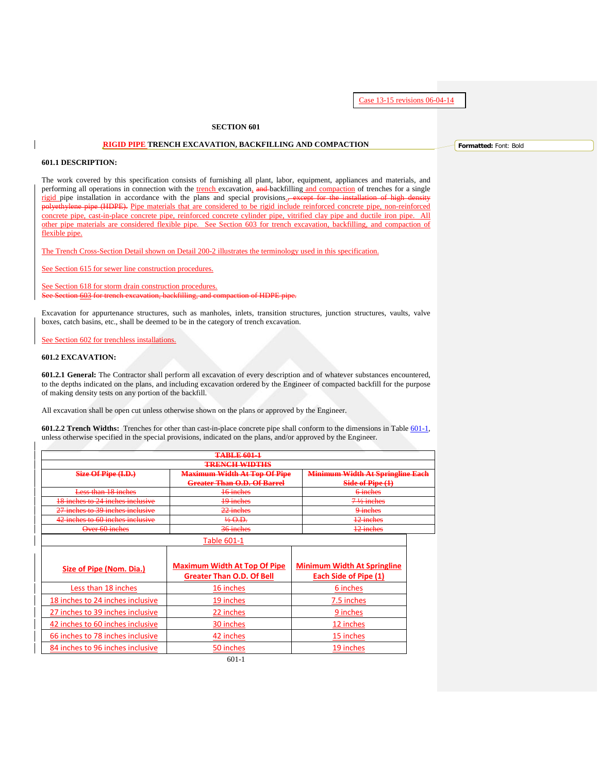Case 13-15 revisions 06-04-14

## **SECTION 601**

## **RIGID PIPE TRENCH EXCAVATION, BACKFILLING AND COMPACTION**

## **601.1 DESCRIPTION:**

The work covered by this specification consists of furnishing all plant, labor, equipment, appliances and materials, and performing all operations in connection with the trench excavation, and backfilling and compaction of trenches for a single rigid pipe installation in accordance with the plans and special provisions.<sup>-</sup> except for the installation of high de polyethylene pipe (HDPE). Pipe materials that are considered to be rigid include reinforced concrete pipe, non-reinforced concrete pipe, cast-in-place concrete pipe, reinforced concrete cylinder pipe, vitrified clay pipe and ductile iron pipe. All other pipe materials are considered flexible pipe. See Section 603 for trench excavation, backfilling, and compaction of flexible pipe.

The Trench Cross-Section Detail shown on Detail 200-2 illustrates the terminology used in this specification.

See Section 615 for sewer line construction procedures.

See Section 618 for storm drain construction procedures.  $603$  for trench excavation, backfilling, and compaction of HDPE pipe.

Excavation for appurtenance structures, such as manholes, inlets, transition structures, junction structures, vaults, valve boxes, catch basins, etc., shall be deemed to be in the category of trench excavation.

See Section 602 for trenchless installations.

### **601.2 EXCAVATION:**

**601.2.1 General:** The Contractor shall perform all excavation of every description and of whatever substances encountered, to the depths indicated on the plans, and including excavation ordered by the Engineer of compacted backfill for the purpose of making density tests on any portion of the backfill.

All excavation shall be open cut unless otherwise shown on the plans or approved by the Engineer.

**601.2.2 Trench Widths:** Trenches for other than cast-in-place concrete pipe shall conform to the dimensions in Table 601-1, unless otherwise specified in the special provisions, indicated on the plans, and/or approved by the Engineer.

<span id="page-11-0"></span>

| <b>TABLE 601-1</b>               |                                     |                                         |  |  |  |  |  |  |  |
|----------------------------------|-------------------------------------|-----------------------------------------|--|--|--|--|--|--|--|
|                                  | <b>TRENCH WIDTHS</b>                |                                         |  |  |  |  |  |  |  |
| Size Of Pipe (I.D.)              | <b>Maximum Width At Top Of Pipe</b> | <b>Minimum Width At Springline Each</b> |  |  |  |  |  |  |  |
|                                  | <b>Greater Than O.D. Of Barrel</b>  | Side of Pipe $(1)$                      |  |  |  |  |  |  |  |
| Less than 18 inches              | 16 inches                           | 6 inches                                |  |  |  |  |  |  |  |
| 18 inches to 24 inches inclusive | 19 inches                           | $7\frac{1}{2}$ inches                   |  |  |  |  |  |  |  |
| 27 inches to 20 inches inclusive | $22$ inches<br><b>ALCOHOL:</b>      | 9-inches                                |  |  |  |  |  |  |  |
| 42 inches to 60 inches inclusive |                                     | 12 inches                               |  |  |  |  |  |  |  |
| Over 60 inches                   | $26$ inches                         | $12$ inches<br>to month.                |  |  |  |  |  |  |  |
|                                  | Table 601-1                         |                                         |  |  |  |  |  |  |  |

| Size of Pipe (Nom. Dia.)         | <b>Maximum Width At Top Of Pipe</b><br><b>Greater Than O.D. Of Bell</b> | <b>Minimum Width At Springline</b><br>Each Side of Pipe (1) |
|----------------------------------|-------------------------------------------------------------------------|-------------------------------------------------------------|
| Less than 18 inches              | 16 inches                                                               | 6 inches                                                    |
| 18 inches to 24 inches inclusive | 19 inches                                                               | 7.5 inches                                                  |
| 27 inches to 39 inches inclusive | 22 inches                                                               | 9 inches                                                    |
| 42 inches to 60 inches inclusive | 30 inches                                                               | 12 inches                                                   |
| 66 inches to 78 inches inclusive | 42 inches                                                               | 15 inches                                                   |
| 84 inches to 96 inches inclusive | 50 inches                                                               | 19 inches                                                   |

**Formatted:** Font: Bold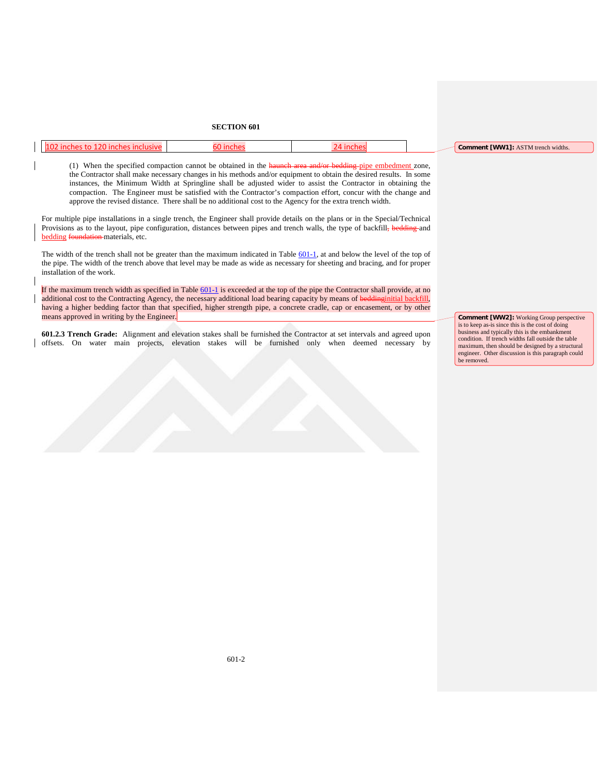|  |  | $\cdot$ r [VAAA/ <sup>4</sup><br>$\sim$ $\sim$<br><sup>1</sup> trench widths.<br>Commen'<br>$A \setminus I$ $N$ |
|--|--|-----------------------------------------------------------------------------------------------------------------|
|  |  |                                                                                                                 |

(1) When the specified compaction cannot be obtained in the haunch area and/or bedding-pipe embedment zone, the Contractor shall make necessary changes in his methods and/or equipment to obtain the desired results. In some instances, the Minimum Width at Springline shall be adjusted wider to assist the Contractor in obtaining the compaction. The Engineer must be satisfied with the Contractor's compaction effort, concur with the change and approve the revised distance. There shall be no additional cost to the Agency for the extra trench width.

For multiple pipe installations in a single trench, the Engineer shall provide details on the plans or in the Special/Technical Provisions as to the layout, pipe configuration, distances between pipes and trench walls, the type of backfill, bedding and bedding foundation materials, etc.

The width of the trench shall not be greater than the maximum indicated in Table  $601-1$ , at and below the level of the top of the pipe. The width of the trench above that level may be made as wide as necessary for sheeting and bracing, and for proper installation of the work.

If the maximum trench width as specified in Table  $601-1$  is exceeded at the top of the pipe the Contractor shall provide, at no additional cost to the Contracting Agency, the necessary additional load bearing capacity by means of beddinginitial backfill, having a higher bedding factor than that specified, higher strength pipe, a concrete cradle, cap or encasement, or by other means approved in writing by the Engineer.

**601.2.3 Trench Grade:** Alignment and elevation stakes shall be furnished the Contractor at set intervals and agreed upon offsets. On water main projects, elevation stakes will be furnished only when deemed necessary by **Comment [WW2]:** Working Group perspective is to keep as-is since this is the cost of doing business and typically this is the embankment condition. If trench widths fall outside the table maximum, then should be designed by a structural engineer. Other discussion is this paragraph could be removed.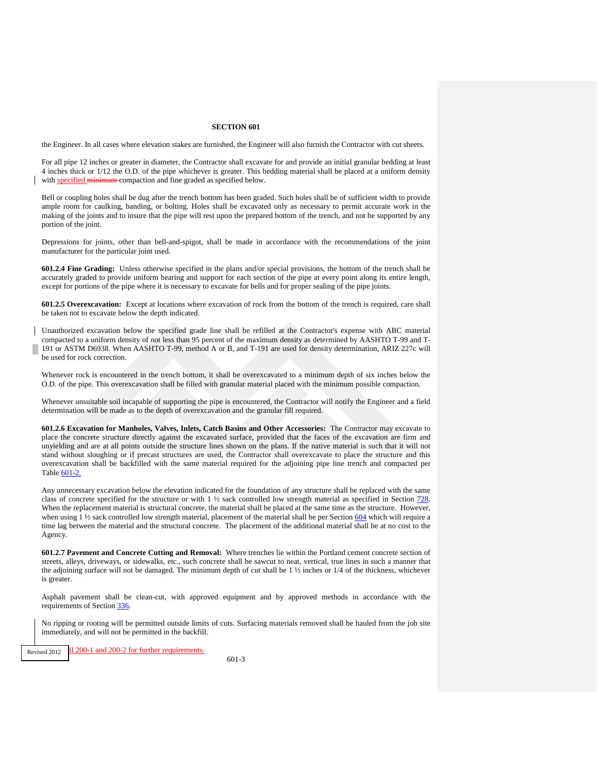the Engineer. In all cases where elevation stakes are furnished, the Engineer will also furnish the Contractor with cut sheets.

For all pipe 12 inches or greater in diameter, the Contractor shall excavate for and provide an initial granular bedding at least 4 inches thick or 1/12 the O.D. of the pipe whichever is greater. This bedding material shall be placed at a uniform density with specified minimum compaction and fine graded as specified below.

Bell or coupling holes shall be dug after the trench bottom has been graded. Such holes shall be of sufficient width to provide ample room for caulking, banding, or bolting. Holes shall be excavated only as necessary to permit accurate work in the making of the joints and to insure that the pipe will rest upon the prepared bottom of the trench, and not be supported by any portion of the joint.

Depressions for joints, other than bell-and-spigot, shall be made in accordance with the recommendations of the joint manufacturer for the particular joint used.

**601.2.4 Fine Grading:** Unless otherwise specified in the plans and/or special provisions, the bottom of the trench shall be accurately graded to provide uniform bearing and support for each section of the pipe at every point along its entire length, except for portions of the pipe where it is necessary to excavate for bells and for proper sealing of the pipe joints.

<span id="page-13-0"></span>**601.2.5 Overexcavation:** Except at locations where excavation of rock from the bottom of the trench is required, care shall be taken not to excavate below the depth indicated.

Unauthorized excavation below the specified grade line shall be refilled at the Contractor's expense with ABC material compacted to a uniform density of not less than 95 percent of the maximum density as determined by AASHTO T-99 and T-191 or ASTM D6938. When AASHTO T-99, method A or B, and T-191 are used for density determination, ARIZ 227c will be used for rock correction.

Whenever rock is encountered in the trench bottom, it shall be overexcavated to a minimum depth of six inches below the O.D. of the pipe. This overexcavation shall be filled with granular material placed with the minimum possible compaction.

Whenever unsuitable soil incapable of supporting the pipe is encountered, the Contractor will notify the Engineer and a field determination will be made as to the depth of overexcavation and the granular fill required.

**601.2.6 Excavation for Manholes, Valves, Inlets, Catch Basins and Other Accessories:** The Contractor may excavate to place the concrete structure directly against the excavated surface, provided that the faces of the excavation are firm and unyielding and are at all points outside the structure lines shown on the plans. If the native material is such that it will not stand without sloughing or if precast structures are used, the Contractor shall overexcavate to place the structure and this overexcavation shall be backfilled with the same material required for the adjoining pipe line trench and compacted per Table [601-2.](#page-19-0)

Any unnecessary excavation below the elevation indicated for the foundation of any structure shall be replaced with the same class of concrete specified for the structure or with 1 ½ sack controlled low strength material as specified in Section 728. When the replacement material is structural concrete, the material shall be placed at the same time as the structure. However, when using  $1\frac{1}{2}$  sack controlled low strength material, placement of the material shall be per Section  $604$  which will require a time lag between the material and the structural concrete. The placement of the additional material shall be at no cost to the Agency.

**601.2.7 Pavement and Concrete Cutting and Removal:** Where trenches lie within the Portland cement concrete section of streets, alleys, driveways, or sidewalks, etc., such concrete shall be sawcut to neat, vertical, true lines in such a manner that the adjoining surface will not be damaged. The minimum depth of cut shall be  $1\frac{1}{2}$  inches or  $1/4$  of the thickness, whichever is greater.

Asphalt pavement shall be clean-cut, with approved equipment and by approved methods in accordance with the requirements of Section 336.

No ripping or rooting will be permitted outside limits of cuts. Surfacing materials removed shall be hauled from the job site immediately, and will not be permitted in the backfill.

Revised 2012 il 200-1 and 200-2 for further requirements.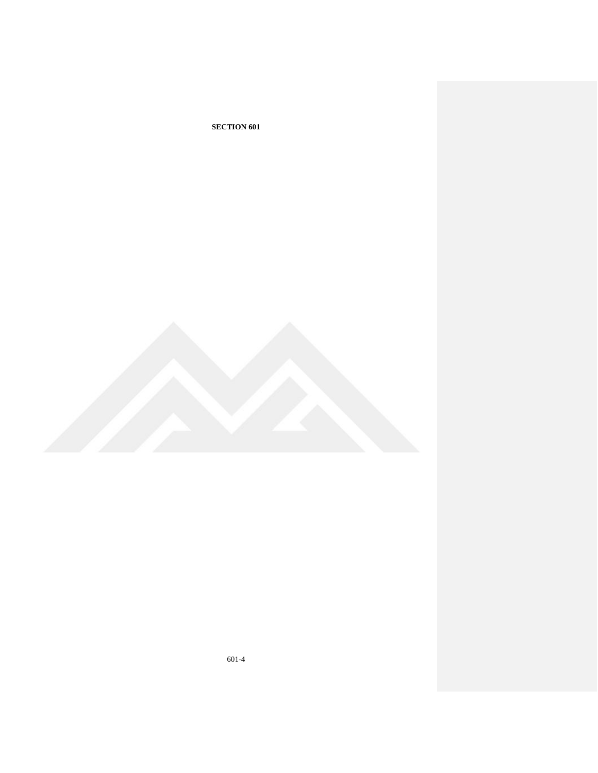

601-4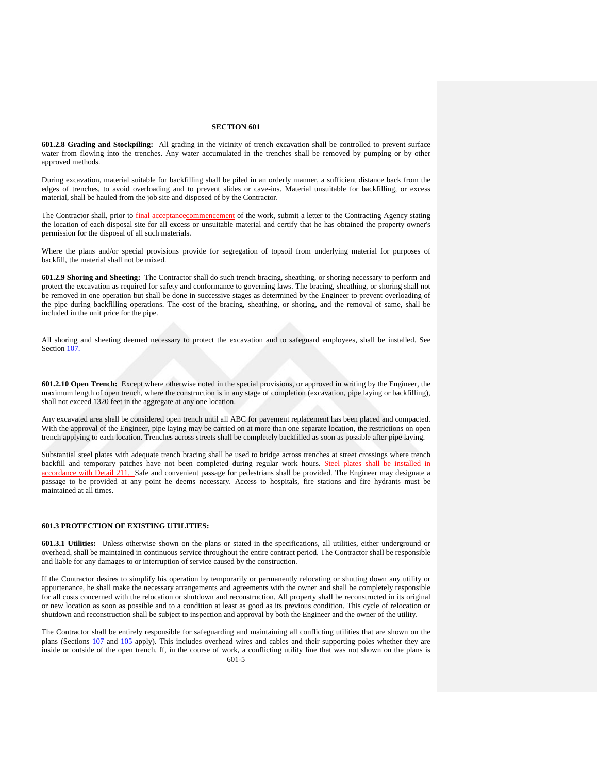**601.2.8 Grading and Stockpiling:** All grading in the vicinity of trench excavation shall be controlled to prevent surface water from flowing into the trenches. Any water accumulated in the trenches shall be removed by pumping or by other approved methods.

During excavation, material suitable for backfilling shall be piled in an orderly manner, a sufficient distance back from the edges of trenches, to avoid overloading and to prevent slides or cave-ins. Material unsuitable for backfilling, or excess material, shall be hauled from the job site and disposed of by the Contractor.

The Contractor shall, prior to final acceptance commencement of the work, submit a letter to the Contracting Agency stating the location of each disposal site for all excess or unsuitable material and certify that he has obtained the property owner's permission for the disposal of all such materials.

Where the plans and/or special provisions provide for segregation of topsoil from underlying material for purposes of backfill, the material shall not be mixed.

**601.2.9 Shoring and Sheeting:** The Contractor shall do such trench bracing, sheathing, or shoring necessary to perform and protect the excavation as required for safety and conformance to governing laws. The bracing, sheathing, or shoring shall not be removed in one operation but shall be done in successive stages as determined by the Engineer to prevent overloading of the pipe during backfilling operations. The cost of the bracing, sheathing, or shoring, and the removal of same, shall be included in the unit price for the pipe.

All shoring and sheeting deemed necessary to protect the excavation and to safeguard employees, shall be installed. See Section 107.

**601.2.10 Open Trench:** Except where otherwise noted in the special provisions, or approved in writing by the Engineer, the maximum length of open trench, where the construction is in any stage of completion (excavation, pipe laying or backfilling), shall not exceed 1320 feet in the aggregate at any one location.

Any excavated area shall be considered open trench until all ABC for pavement replacement has been placed and compacted. With the approval of the Engineer, pipe laying may be carried on at more than one separate location, the restrictions on open trench applying to each location. Trenches across streets shall be completely backfilled as soon as possible after pipe laying.

Substantial steel plates with adequate trench bracing shall be used to bridge across trenches at street crossings where trench backfill and temporary patches have not been completed during regular work hours. Steel plates shall be installed in accordance with Detail 211. Safe and convenient passage for pedestrians shall be provided. The Engineer may designate a passage to be provided at any point he deems necessary. Access to hospitals, fire stations and fire hydrants must be maintained at all times.

## **601.3 PROTECTION OF EXISTING UTILITIES:**

**601.3.1 Utilities:** Unless otherwise shown on the plans or stated in the specifications, all utilities, either underground or overhead, shall be maintained in continuous service throughout the entire contract period. The Contractor shall be responsible and liable for any damages to or interruption of service caused by the construction.

If the Contractor desires to simplify his operation by temporarily or permanently relocating or shutting down any utility or appurtenance, he shall make the necessary arrangements and agreements with the owner and shall be completely responsible for all costs concerned with the relocation or shutdown and reconstruction. All property shall be reconstructed in its original or new location as soon as possible and to a condition at least as good as its previous condition. This cycle of relocation or shutdown and reconstruction shall be subject to inspection and approval by both the Engineer and the owner of the utility.

The Contractor shall be entirely responsible for safeguarding and maintaining all conflicting utilities that are shown on the plans (Sections 107 and 105 apply). This includes overhead wires and cables and their supporting poles whether they are inside or outside of the open trench. If, in the course of work, a conflicting utility line that was not shown on the plans is 601-5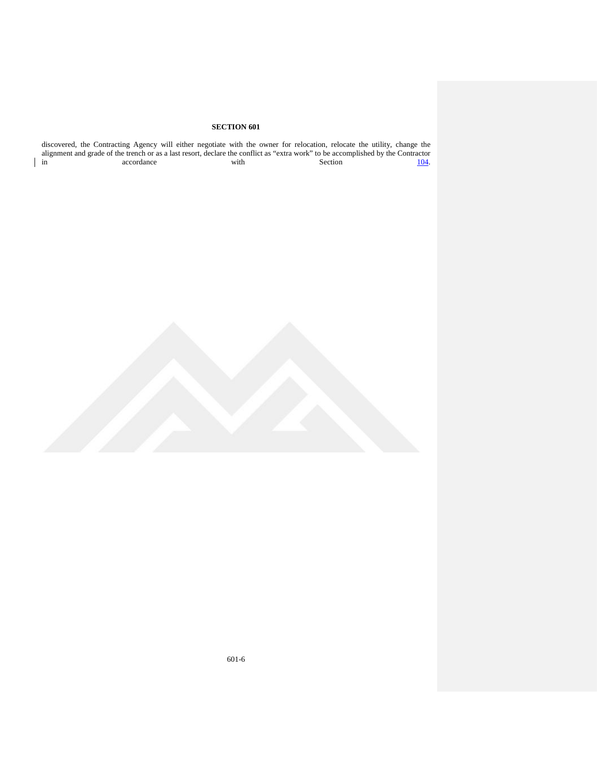| discovered, the Contracting Agency will either negotiate with the owner for relocation, relocate the utility, change the<br>alignment and grade of the trench or as a last resort, declare the conflict as "extra work" to be accomplished by the Contractor |            |      |  |                |              |
|--------------------------------------------------------------------------------------------------------------------------------------------------------------------------------------------------------------------------------------------------------------|------------|------|--|----------------|--------------|
| $\ln$                                                                                                                                                                                                                                                        | accordance | with |  | <b>Section</b> | <u>104</u> . |

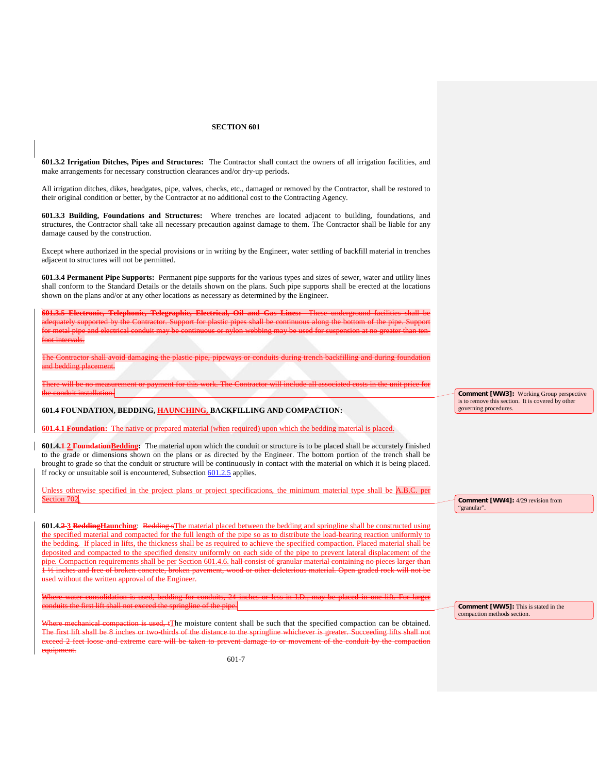**601.3.2 Irrigation Ditches, Pipes and Structures:** The Contractor shall contact the owners of all irrigation facilities, and make arrangements for necessary construction clearances and/or dry-up periods.

All irrigation ditches, dikes, headgates, pipe, valves, checks, etc., damaged or removed by the Contractor, shall be restored to their original condition or better, by the Contractor at no additional cost to the Contracting Agency.

**601.3.3 Building, Foundations and Structures:** Where trenches are located adjacent to building, foundations, and structures, the Contractor shall take all necessary precaution against damage to them. The Contractor shall be liable for any damage caused by the construction.

Except where authorized in the special provisions or in writing by the Engineer, water settling of backfill material in trenches adjacent to structures will not be permitted.

**601.3.4 Permanent Pipe Supports:** Permanent pipe supports for the various types and sizes of sewer, water and utility lines shall conform to the Standard Details or the details shown on the plans. Such pipe supports shall be erected at the locations shown on the plans and/or at any other locations as necessary as determined by the Engineer.

**Telephonic, Telegraphic, Electrical, Oil and Gas Lines:** adequately supported by the Contractor. Support for plastic pipes shall be continuous along the bottom of the pipe. Support for metal pipe and electrical conduit may be continuous or nylon webbing may be used for suspension at no greater than tenfoot intervals.

The Contractor shall avoid damaging the plastic pipe, pipeways or conduits during trench backfilling and during foundation and bedding placement.

There will be no measurement or payment for this work. The Contractor will include all associated costs in the unit price for the conduit installation.

**601.4 FOUNDATION, BEDDING, HAUNCHING, BACKFILLING AND COMPACTION:**

**601.4.1 Foundation:** The native or prepared material (when required) upon which the bedding material is placed.

**601.4.1 2 FoundationBedding:** The material upon which the conduit or structure is to be placed shall be accurately finished to the grade or dimensions shown on the plans or as directed by the Engineer. The bottom portion of the trench shall be brought to grade so that the conduit or structure will be continuously in contact with the material on which it is being placed. If rocky or unsuitable soil is encountered, Subsection [601.2.5](#page-13-0) applies.

Unless otherwise specified in the project plans or project specifications, the minimum material type shall be A.B.C. per Section 702

**601.4.2 3 BeddingHaunching**: Bedding sThe material placed between the bedding and springline shall be constructed using the specified material and compacted for the full length of the pipe so as to distribute the load-bearing reaction uniformly to the bedding. If placed in lifts, the thickness shall be as required to achieve the specified compaction. Placed material shall be deposited and compacted to the specified density uniformly on each side of the pipe to prevent lateral displacement of the pipe. Compaction requirements shall be per Section 601.4.6. hall 1 ½ inches and free of broken concrete, broken pavement, wood or other deleterious material. Open graded rock will not be used without the written approval of the Engineer.

Where water consolidation is used, bedding for conduits, 24 inches or less in I.D., may be placed in one lift. For larger conduits the first lift shall not exceed the springline of the pipe.

re mechanical compaction is used, tThe moisture content shall be such that the specified compaction can be obtained.<br>First lift shall be 8 inches or two thirds of the distance to the springline whichever is greater. Succee or two-thirds of the distance to the springline whichever is greater. Succeeding lifts shall not exceed 2 feet loose and extreme care will be taken to prevent damage to or movement of the conduit by the compaction equipment.

**Comment [WW3]:** Working Group perspective is to remove this section. It is covered by other governing procedures.

**Comment [WW4]:** 4/29 revision from "granular".

**Comment [WW5]:** This is stated in the compaction methods section.

601-7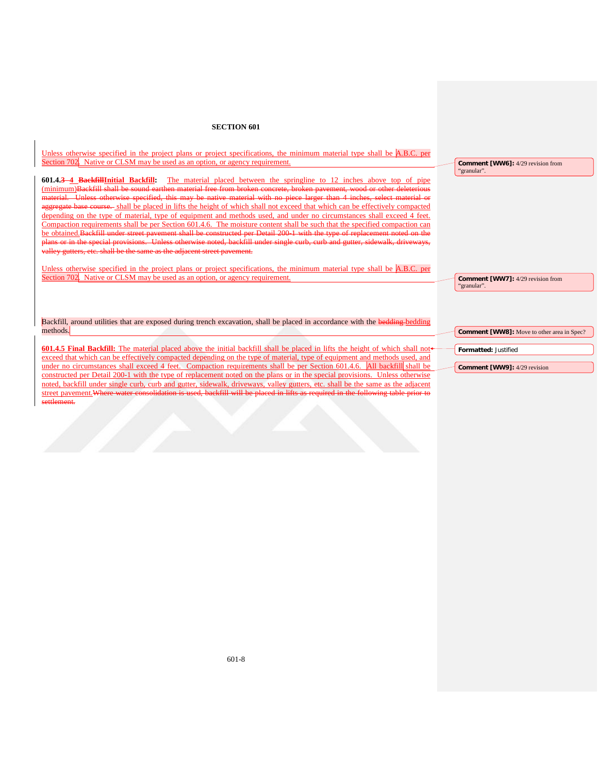Unless otherwise specified in the project plans or project specifications, the minimum material type shall be A.B.C. per Section 702. Native or CLSM may be used as an option, or agency requirement.

**601.4.3 4 BackfillInitial Backfill:** The material placed between the springline to 12 inches above top of pipe (minimum)Backfill shall be sound earthen material free from broken concrete, broken pavement, wood or other deleterious material. Unless otherwise specified, this may be native material with no piece larger than 4 inches, select material or aggregate base course. shall be placed in lifts the height of which shall not exceed that which can be effectively compacted depending on the type of material, type of equipment and methods used, and under no circumstances shall exceed 4 feet. Compaction requirements shall be per Section 601.4.6. The moisture content shall be such that the specified compaction can be obtained.Backfill under street pavement shall be constructed per Detail 200-1 with the type of replacement noted on the plans or in the special provisions. Unless otherwise noted, backfill under single curb, curb and gutter, sidewalk, driveways, valley gutters, etc. shall be the same as the adjacent street pavement.

Unless otherwise specified in the project plans or project specifications, the minimum material type shall be A.B.C. per Section 702. Native or CLSM may be used as an option, or agency requirement.

**Comment [WW6]:** 4/29 revision from

"granular".

**Comment [WW7]:** 4/29 revision from "granular".

Backfill, around utilities that are exposed during trench excavation, shall be placed in accordance with the bedding bedding methods.

**601.4.5 Final Backfill:** The material placed above the initial backfill shall be placed in lifts the height of which shall not exceed that which can be effectively compacted depending on the type of material, type of equipment and methods used, and under no circumstances shall exceed 4 feet. Compaction requirements shall be per Section 601.4.6. All backfill shall be constructed per Detail 200-1 with the type of replacement noted on the plans or in the special provisions. Unless otherwise noted, backfill under single curb, curb and gutter, sidewalk, driveways, valley gutters, etc. shall be the same as the adjacent street pavement.Where water consolidation is used, backfill will be placed in lifts as required in the following table prior to settlement.

**Comment [WW8]:** Move to other area in Spec?

**Formatted:** Justified

**Comment [WW9]:** 4/29 revision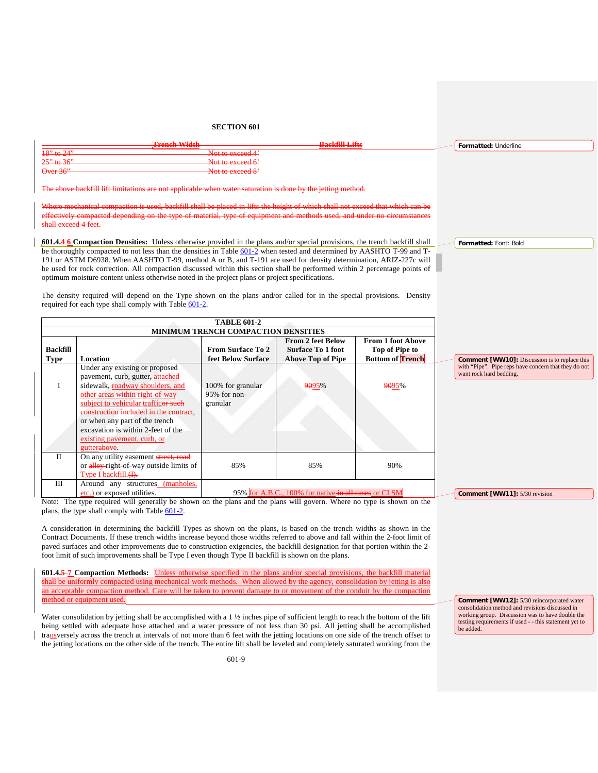|                       | <b>Tropol Width</b><br><b>THE R. T. LEWIS CO., LANSING MICH.</b> | <b>Bookfill I ifte</b><br><b>.</b> | Formatted: Underline |
|-----------------------|------------------------------------------------------------------|------------------------------------|----------------------|
| $18"$ to $24"$        | Not to exceed 4 <sup>2</sup>                                     |                                    |                      |
| <del>25" to 36"</del> | Not to avocad $6'$<br><del>noi io execcu o</del>                 |                                    |                      |
| $Over-36"$            | Not to exceed 8'                                                 |                                    |                      |
|                       |                                                                  |                                    |                      |

The above backfill lift limitations are not applicable when water saturation is done by the jetting method.

Where mechanical compaction is used, backfill shall be placed in lifts the height of which shall not exceed that which can be effectively compacted depending on the type of material, type of equipment and methods used, and under no circumstances shall exceed 4 feet.

**601.4.4 6 Compaction Densities:** Unless otherwise provided in the plans and/or special provisions, the trench backfill shall be thoroughly compacted to not less than the densities in Table [601-2](#page-19-0) when tested and determined by AASHTO T-99 and T-191 or ASTM D6938. When AASHTO T-99, method A or B, and T-191 are used for density determination, ARIZ-227c will be used for rock correction. All compaction discussed within this section shall be performed within 2 percentage points of optimum moisture content unless otherwise noted in the project plans or project specifications.

The density required will depend on the Type shown on the plans and/or called for in the special provisions. Density required for each type shall comply with Table [601-2.](#page-19-0)

<span id="page-19-0"></span>

|          |                                                                                                                                                                                                                                                                                                                                                   | <b>TABLE 601-2</b>                            |                                                      |                                            |                                                                                 |
|----------|---------------------------------------------------------------------------------------------------------------------------------------------------------------------------------------------------------------------------------------------------------------------------------------------------------------------------------------------------|-----------------------------------------------|------------------------------------------------------|--------------------------------------------|---------------------------------------------------------------------------------|
|          |                                                                                                                                                                                                                                                                                                                                                   | <b>MINIMUM TRENCH COMPACTION DENSITIES</b>    |                                                      |                                            |                                                                                 |
| Backfill |                                                                                                                                                                                                                                                                                                                                                   | <b>From Surface To 2</b>                      | <b>From 2 feet Below</b><br><b>Surface To 1 foot</b> | <b>From 1 foot Above</b><br>Top of Pipe to |                                                                                 |
| Type     | Location                                                                                                                                                                                                                                                                                                                                          | feet Below Surface                            | <b>Above Top of Pipe</b>                             | <b>Bottom of Trench</b>                    | <b>Comment [WW10]:</b> Discussion is to replace this                            |
| Ι        | Under any existing or proposed<br>pavement, curb, gutter, attached<br>sidewalk, roadway shoulders, and<br>other areas within right-of-way<br>subject to vehicular trafficer such<br>construction included in the contract,<br>or when any part of the trench<br>excavation is within 2-feet of the<br>existing payement, curb, or<br>gutterabove. | 100% for granular<br>95% for non-<br>granular | 9095%                                                | 9095%                                      | with "Pipe". Pipe reps have concern that they do not<br>want rock hard bedding. |
| П        | On any utility easement street, road<br>or alley-right-of-way outside limits of<br>Type I backfill. (A).                                                                                                                                                                                                                                          | 85%                                           | 85%                                                  | 90%                                        |                                                                                 |
| III      | Around any structures (manholes,<br>etc.) or exposed utilities.                                                                                                                                                                                                                                                                                   |                                               | 95% for A.B.C., 100% for native-in all cases or CLSM |                                            | Comment [WW11]: 5/30 revision                                                   |

Note: The type required will generally be shown on the plans and the plans will govern. Where no type is shown on the plans, the type shall comply with Tabl[e 601-2.](#page-19-0)

A consideration in determining the backfill Types as shown on the plans, is based on the trench widths as shown in the Contract Documents. If these trench widths increase beyond those widths referred to above and fall within the 2-foot limit of paved surfaces and other improvements due to construction exigencies, the backfill designation for that portion within the 2 foot limit of such improvements shall be Type I even though Type II backfill is shown on the plans.

**601.4.5 7 Compaction Methods:** Unless otherwise specified in the plans and/or special provisions, the backfill material shall be uniformly compacted using mechanical work methods. When allowed by the agency, consolidation by jetting is also an acceptable compaction method. Care will be taken to prevent damage to or movement of the conduit by the compaction method or equipment used.

Water consolidation by jetting shall be accomplished with a 1 ½ inches pipe of sufficient length to reach the bottom of the lift being settled with adequate hose attached and a water pressure of not less than 30 psi. All jetting shall be accomplished transversely across the trench at intervals of not more than 6 feet with the jetting locations on one side of the trench offset to the jetting locations on the other side of the trench. The entire lift shall be leveled and completely saturated working from the

**Comment [WW12]:** 5/30 reincorporated water consolidation method and revisions discussed in working group. Discussion was to have double the testing requirements if used - - this statement yet to be added.

**Formatted:** Font: Bold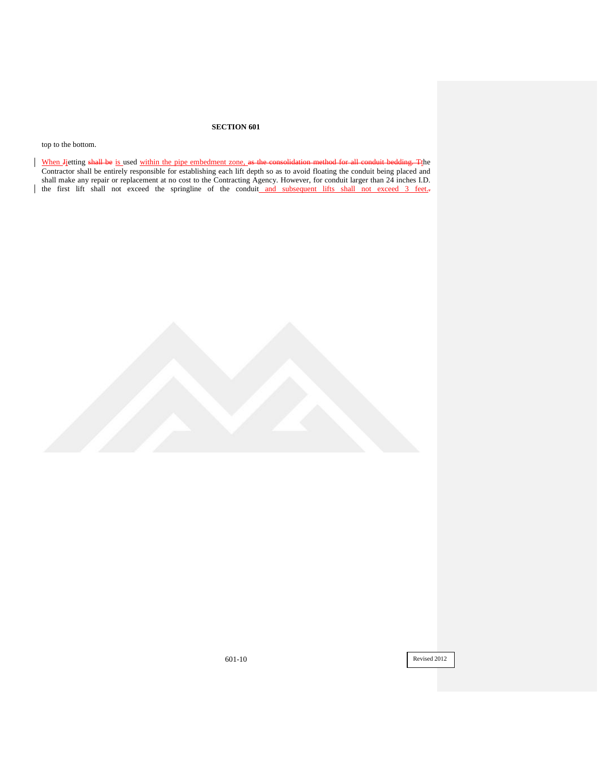top to the bottom.

When Jietting shall be is used within the pipe embedment zone, as the consolidation method for all conduit bedding. The Contractor shall be entirely responsible for establishing each lift depth so as to avoid floating the conduit being placed and shall make any repair or replacement at no cost to the Contracting Agency. However, for conduit larger than 24 inches I.D. I the first lift shall not exceed the springline of the conduit and subsequent lifts shall not exceed 3 feet...

601-10 Revised 2012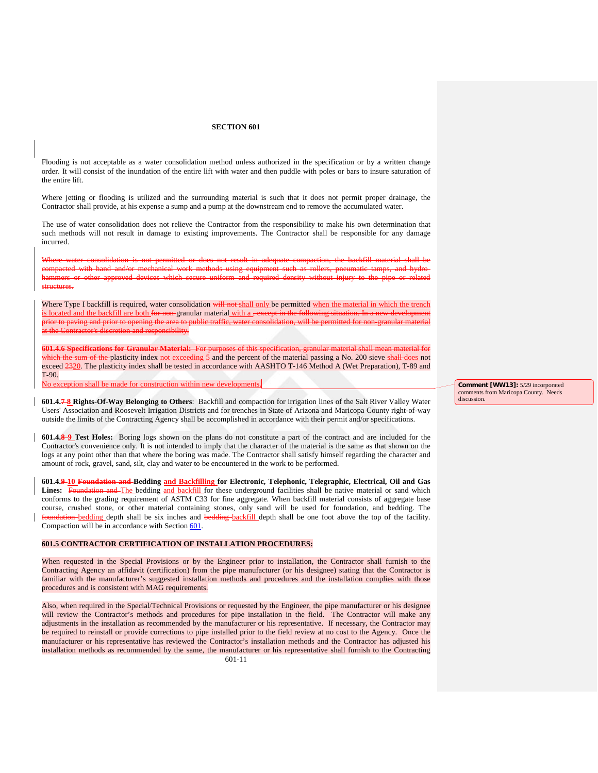Flooding is not acceptable as a water consolidation method unless authorized in the specification or by a written change order. It will consist of the inundation of the entire lift with water and then puddle with poles or bars to insure saturation of the entire lift.

Where jetting or flooding is utilized and the surrounding material is such that it does not permit proper drainage, the Contractor shall provide, at his expense a sump and a pump at the downstream end to remove the accumulated water.

The use of water consolidation does not relieve the Contractor from the responsibility to make his own determination that such methods will not result in damage to existing improvements. The Contractor shall be responsible for any damage incurred.

Where water consolidation is not permitted or does not result in adequate compaction, the backfill material shall be ork methods using equipment such as rollers, pneumatic tamps, and hydrowhich secure uniform and required density without injury to the structures.

Where Type I backfill is required, water consolidation will not shall only be permitted when the material in which the trench is located and the backfill are both for non-granular material with a , except in the following situation. In a new develop prior to paving and prior to opening the area to public traffic, at the Contractor's discretion and responsibility.

**601.4.6 Specifications for Granular Material:** For purposes of this specification, granular material shall mean material for which the sum of the plasticity index not exceeding 5 and the percent of the material passing a No. 200 sieve shall does not exceed  $\frac{2320}{25}$ . The plasticity index shall be tested in accordance with AASHTO T-146 Method A (Wet Preparation), T-89 and T-90.

No exception shall be made for construction within new developments.

**601.4.7 8 Rights-Of-Way Belonging to Others**: Backfill and compaction for irrigation lines of the Salt River Valley Water Users' Association and Roosevelt Irrigation Districts and for trenches in State of Arizona and Maricopa County right-of-way outside the limits of the Contracting Agency shall be accomplished in accordance with their permit and/or specifications.

**601.4.8 9 Test Holes:** Boring logs shown on the plans do not constitute a part of the contract and are included for the Contractor's convenience only. It is not intended to imply that the character of the material is the same as that shown on the logs at any point other than that where the boring was made. The Contractor shall satisfy himself regarding the character and amount of rock, gravel, sand, silt, clay and water to be encountered in the work to be performed.

**601.4.9 10 Foundation and Bedding and Backfilling for Electronic, Telephonic, Telegraphic, Electrical, Oil and Gas**  Lines: Foundation and The bedding and backfill for these underground facilities shall be native material or sand which conforms to the grading requirement of ASTM C33 for fine aggregate. When backfill material consists of aggregate base course, crushed stone, or other material containing stones, only sand will be used for foundation, and bedding. The on bedding depth shall be six inches and bedding backfill depth shall be one foot above the top of the facility. Compaction will be in accordance with Section 601.

### **601.5 CONTRACTOR CERTIFICATION OF INSTALLATION PROCEDURES:**

When requested in the Special Provisions or by the Engineer prior to installation, the Contractor shall furnish to the Contracting Agency an affidavit (certification) from the pipe manufacturer (or his designee) stating that the Contractor is familiar with the manufacturer's suggested installation methods and procedures and the installation complies with those procedures and is consistent with MAG requirements.

Also, when required in the Special/Technical Provisions or requested by the Engineer, the pipe manufacturer or his designee will review the Contractor's methods and procedures for pipe installation in the field. The Contractor will make any adjustments in the installation as recommended by the manufacturer or his representative. If necessary, the Contractor may be required to reinstall or provide corrections to pipe installed prior to the field review at no cost to the Agency. Once the manufacturer or his representative has reviewed the Contractor's installation methods and the Contractor has adjusted his installation methods as recommended by the same, the manufacturer or his representative shall furnish to the Contracting 601-11

**Comment [WW13]:** 5/29 incorporated comments from Maricopa County. Needs discussion.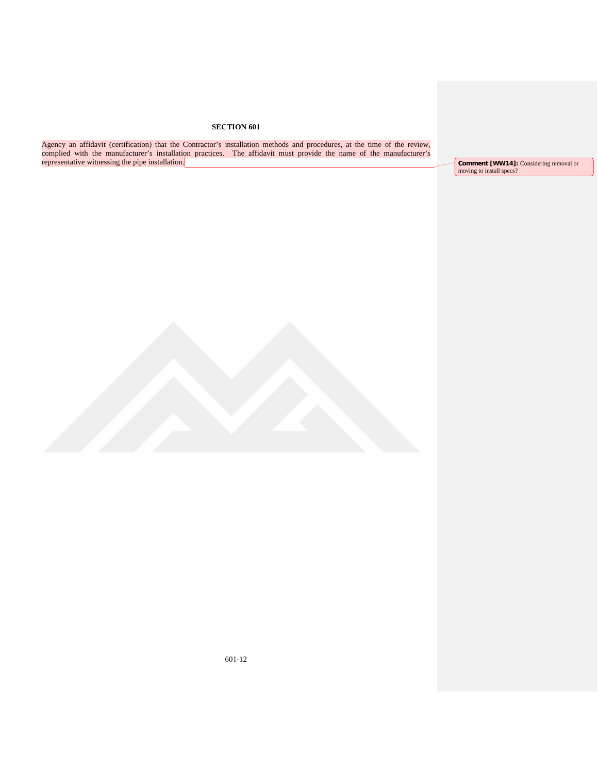Agency an affidavit (certification) that the Contractor's installation methods and procedures, at the time of the review, complied with the manufacturer's installation practices. The affidavit must provide the name of the manufacturer's representative witnessing the pipe installation.

**Comment [WW14]:** Considering removal or moving to install specs?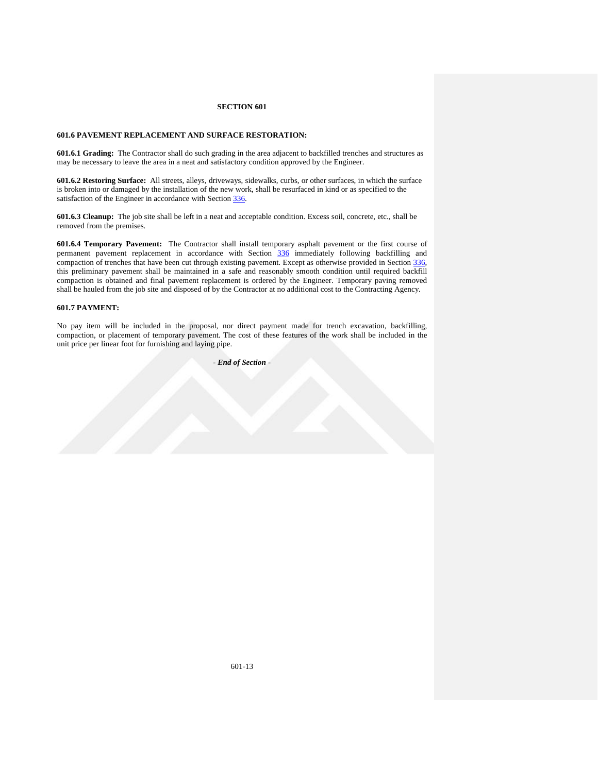## **601.6 PAVEMENT REPLACEMENT AND SURFACE RESTORATION:**

**601.6.1 Grading:** The Contractor shall do such grading in the area adjacent to backfilled trenches and structures as may be necessary to leave the area in a neat and satisfactory condition approved by the Engineer.

**601.6.2 Restoring Surface:** All streets, alleys, driveways, sidewalks, curbs, or other surfaces, in which the surface is broken into or damaged by the installation of the new work, shall be resurfaced in kind or as specified to the satisfaction of the Engineer in accordance with Section 336.

**601.6.3 Cleanup:** The job site shall be left in a neat and acceptable condition. Excess soil, concrete, etc., shall be removed from the premises.

**601.6.4 Temporary Pavement:** The Contractor shall install temporary asphalt pavement or the first course of permanent pavement replacement in accordance with Section 336 immediately following backfilling and compaction of trenches that have been cut through existing pavement. Except as otherwise provided in Section 336, this preliminary pavement shall be maintained in a safe and reasonably smooth condition until required backfill compaction is obtained and final pavement replacement is ordered by the Engineer. Temporary paving removed shall be hauled from the job site and disposed of by the Contractor at no additional cost to the Contracting Agency.

## **601.7 PAYMENT:**

No pay item will be included in the proposal, nor direct payment made for trench excavation, backfilling, compaction, or placement of temporary pavement. The cost of these features of the work shall be included in the unit price per linear foot for furnishing and laying pipe.

*- End of Section* -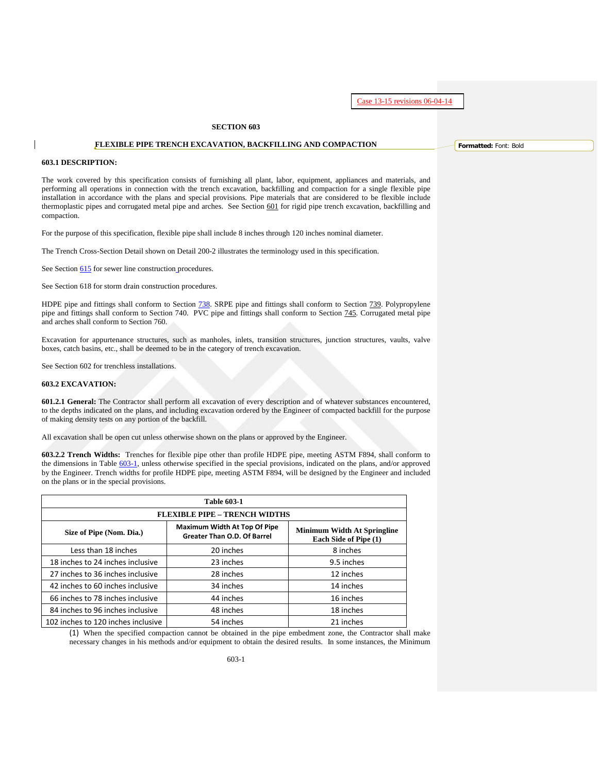Case 13-15 revisions 06-04-14

## **SECTION 603**

## **FLEXIBLE PIPE TRENCH EXCAVATION, BACKFILLING AND COMPACTION**

### **603.1 DESCRIPTION:**

The work covered by this specification consists of furnishing all plant, labor, equipment, appliances and materials, and performing all operations in connection with the trench excavation, backfilling and compaction for a single flexible pipe installation in accordance with the plans and special provisions. Pipe materials that are considered to be flexible include thermoplastic pipes and corrugated metal pipe and arches. See Section 601 for rigid pipe trench excavation, backfilling and compaction.

For the purpose of this specification, flexible pipe shall include 8 inches through 120 inches nominal diameter.

The Trench Cross-Section Detail shown on Detail 200-2 illustrates the terminology used in this specification.

See Section 615 for sewer line construction procedures.

See Section 618 for storm drain construction procedures.

HDPE pipe and fittings shall conform to Section 738. SRPE pipe and fittings shall conform to Section 739. Polypropylene pipe and fittings shall conform to Section 740. PVC pipe and fittings shall conform to Section 745. Corrugated metal pipe and arches shall conform to Section 760.

Excavation for appurtenance structures, such as manholes, inlets, transition structures, junction structures, vaults, valve boxes, catch basins, etc., shall be deemed to be in the category of trench excavation.

See Section 602 for trenchless installations.

### **603.2 EXCAVATION:**

**601.2.1 General:** The Contractor shall perform all excavation of every description and of whatever substances encountered, to the depths indicated on the plans, and including excavation ordered by the Engineer of compacted backfill for the purpose of making density tests on any portion of the backfill.

All excavation shall be open cut unless otherwise shown on the plans or approved by the Engineer.

**603.2.2 Trench Widths:** Trenches for flexible pipe other than profile HDPE pipe, meeting ASTM F894, shall conform to the dimensions in Table 603-1, unless otherwise specified in the special provisions, indicated on the plans, and/or approved by the Engineer. Trench widths for profile HDPE pipe, meeting ASTM F894, will be designed by the Engineer and included on the plans or in the special provisions.

| <b>Table 603-1</b>                                                                                                                                     |           |            |  |  |  |  |
|--------------------------------------------------------------------------------------------------------------------------------------------------------|-----------|------------|--|--|--|--|
| <b>FLEXIBLE PIPE - TRENCH WIDTHS</b>                                                                                                                   |           |            |  |  |  |  |
| Maximum Width At Top Of Pipe<br><b>Minimum Width At Springline</b><br>Size of Pipe (Nom. Dia.)<br>Greater Than O.D. Of Barrel<br>Each Side of Pipe (1) |           |            |  |  |  |  |
| Less than 18 inches                                                                                                                                    | 20 inches | 8 inches   |  |  |  |  |
| 18 inches to 24 inches inclusive                                                                                                                       | 23 inches | 9.5 inches |  |  |  |  |
| 27 inches to 36 inches inclusive                                                                                                                       | 28 inches | 12 inches  |  |  |  |  |
| 42 inches to 60 inches inclusive                                                                                                                       | 34 inches | 14 inches  |  |  |  |  |
| 66 inches to 78 inches inclusive                                                                                                                       | 44 inches | 16 inches  |  |  |  |  |
| 84 inches to 96 inches inclusive                                                                                                                       | 48 inches | 18 inches  |  |  |  |  |
| 102 inches to 120 inches inclusive                                                                                                                     | 54 inches | 21 inches  |  |  |  |  |

(1) When the specified compaction cannot be obtained in the pipe embedment zone, the Contractor shall make necessary changes in his methods and/or equipment to obtain the desired results. In some instances, the Minimum **Formatted:** Font: Bold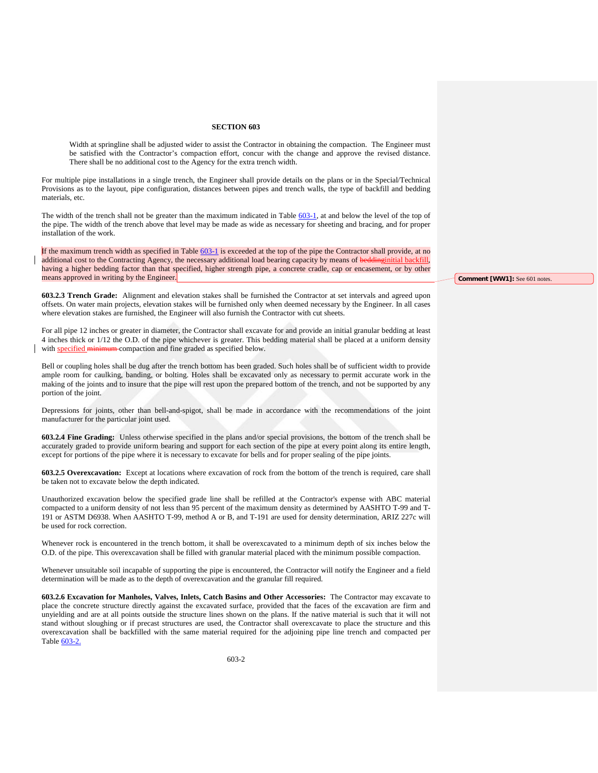Width at springline shall be adjusted wider to assist the Contractor in obtaining the compaction. The Engineer must be satisfied with the Contractor's compaction effort, concur with the change and approve the revised distance. There shall be no additional cost to the Agency for the extra trench width.

For multiple pipe installations in a single trench, the Engineer shall provide details on the plans or in the Special/Technical Provisions as to the layout, pipe configuration, distances between pipes and trench walls, the type of backfill and bedding materials, etc.

The width of the trench shall not be greater than the maximum indicated in Table 603-1, at and below the level of the top of the pipe. The width of the trench above that level may be made as wide as necessary for sheeting and bracing, and for proper installation of the work.

If the maximum trench width as specified in Table 603-1 is exceeded at the top of the pipe the Contractor shall provide, at no additional cost to the Contracting Agency, the necessary additional load bearing capacity by means of beddinginitial backfill, having a higher bedding factor than that specified, higher strength pipe, a concrete cradle, cap or encasement, or by other means approved in writing by the Engineer.

**603.2.3 Trench Grade:** Alignment and elevation stakes shall be furnished the Contractor at set intervals and agreed upon offsets. On water main projects, elevation stakes will be furnished only when deemed necessary by the Engineer. In all cases where elevation stakes are furnished, the Engineer will also furnish the Contractor with cut sheets.

For all pipe 12 inches or greater in diameter, the Contractor shall excavate for and provide an initial granular bedding at least 4 inches thick or 1/12 the O.D. of the pipe whichever is greater. This bedding material shall be placed at a uniform density with **specified minimum** compaction and fine graded as specified below.

Bell or coupling holes shall be dug after the trench bottom has been graded. Such holes shall be of sufficient width to provide ample room for caulking, banding, or bolting. Holes shall be excavated only as necessary to permit accurate work in the making of the joints and to insure that the pipe will rest upon the prepared bottom of the trench, and not be supported by any portion of the joint.

Depressions for joints, other than bell-and-spigot, shall be made in accordance with the recommendations of the joint manufacturer for the particular joint used.

**603.2.4 Fine Grading:** Unless otherwise specified in the plans and/or special provisions, the bottom of the trench shall be accurately graded to provide uniform bearing and support for each section of the pipe at every point along its entire length, except for portions of the pipe where it is necessary to excavate for bells and for proper sealing of the pipe joints.

<span id="page-25-0"></span>**603.2.5 Overexcavation:** Except at locations where excavation of rock from the bottom of the trench is required, care shall be taken not to excavate below the depth indicated.

Unauthorized excavation below the specified grade line shall be refilled at the Contractor's expense with ABC material compacted to a uniform density of not less than 95 percent of the maximum density as determined by AASHTO T-99 and T-191 or ASTM D6938. When AASHTO T-99, method A or B, and T-191 are used for density determination, ARIZ 227c will be used for rock correction.

Whenever rock is encountered in the trench bottom, it shall be overexcavated to a minimum depth of six inches below the O.D. of the pipe. This overexcavation shall be filled with granular material placed with the minimum possible compaction.

Whenever unsuitable soil incapable of supporting the pipe is encountered, the Contractor will notify the Engineer and a field determination will be made as to the depth of overexcavation and the granular fill required.

**603.2.6 Excavation for Manholes, Valves, Inlets, Catch Basins and Other Accessories:** The Contractor may excavate to place the concrete structure directly against the excavated surface, provided that the faces of the excavation are firm and unyielding and are at all points outside the structure lines shown on the plans. If the native material is such that it will not stand without sloughing or if precast structures are used, the Contractor shall overexcavate to place the structure and this overexcavation shall be backfilled with the same material required for the adjoining pipe line trench and compacted per Table [603-2.](#page-28-0)

**Comment [WW1]:** See 601 notes.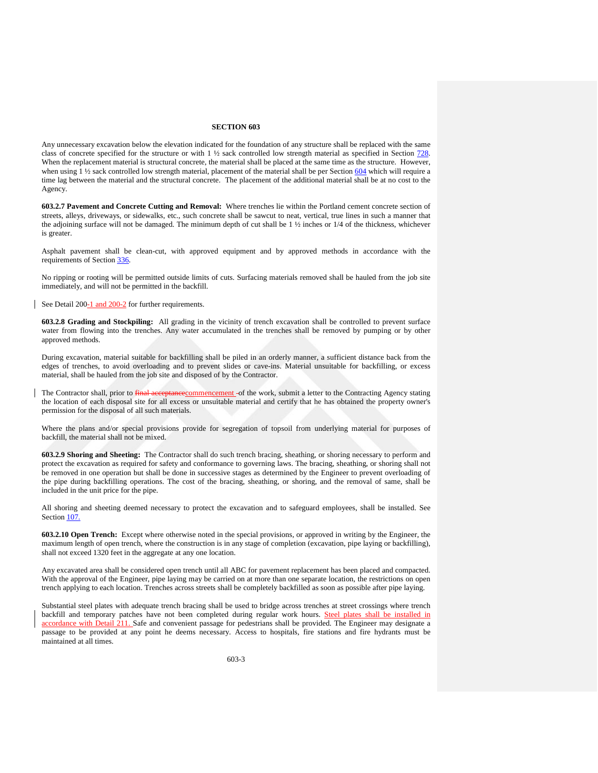Any unnecessary excavation below the elevation indicated for the foundation of any structure shall be replaced with the same class of concrete specified for the structure or with 1 ½ sack controlled low strength material as specified in Section 728. When the replacement material is structural concrete, the material shall be placed at the same time as the structure. However, when using  $\frac{1}{2}$  is ack controlled low strength material, placement of the material shall be per Section 604 which will require a time lag between the material and the structural concrete. The placement of the additional material shall be at no cost to the Agency.

**603.2.7 Pavement and Concrete Cutting and Removal:** Where trenches lie within the Portland cement concrete section of streets, alleys, driveways, or sidewalks, etc., such concrete shall be sawcut to neat, vertical, true lines in such a manner that the adjoining surface will not be damaged. The minimum depth of cut shall be  $1\frac{1}{2}$  inches or  $1/4$  of the thickness, whichever is greater.

Asphalt pavement shall be clean-cut, with approved equipment and by approved methods in accordance with the requirements of Section 336.

No ripping or rooting will be permitted outside limits of cuts. Surfacing materials removed shall be hauled from the job site immediately, and will not be permitted in the backfill.

See Detail 200-1 and 200-2 for further requirements.

**603.2.8 Grading and Stockpiling:** All grading in the vicinity of trench excavation shall be controlled to prevent surface water from flowing into the trenches. Any water accumulated in the trenches shall be removed by pumping or by other approved methods.

During excavation, material suitable for backfilling shall be piled in an orderly manner, a sufficient distance back from the edges of trenches, to avoid overloading and to prevent slides or cave-ins. Material unsuitable for backfilling, or excess material, shall be hauled from the job site and disposed of by the Contractor.

The Contractor shall, prior to final acceptancecommencement -of the work, submit a letter to the Contracting Agency stating the location of each disposal site for all excess or unsuitable material and certify that he has obtained the property owner's permission for the disposal of all such materials.

Where the plans and/or special provisions provide for segregation of topsoil from underlying material for purposes of backfill, the material shall not be mixed.

**603.2.9 Shoring and Sheeting:** The Contractor shall do such trench bracing, sheathing, or shoring necessary to perform and protect the excavation as required for safety and conformance to governing laws. The bracing, sheathing, or shoring shall not be removed in one operation but shall be done in successive stages as determined by the Engineer to prevent overloading of the pipe during backfilling operations. The cost of the bracing, sheathing, or shoring, and the removal of same, shall be included in the unit price for the pipe.

All shoring and sheeting deemed necessary to protect the excavation and to safeguard employees, shall be installed. See Section 107.

**603.2.10 Open Trench:** Except where otherwise noted in the special provisions, or approved in writing by the Engineer, the maximum length of open trench, where the construction is in any stage of completion (excavation, pipe laying or backfilling), shall not exceed 1320 feet in the aggregate at any one location.

Any excavated area shall be considered open trench until all ABC for pavement replacement has been placed and compacted. With the approval of the Engineer, pipe laying may be carried on at more than one separate location, the restrictions on open trench applying to each location. Trenches across streets shall be completely backfilled as soon as possible after pipe laying.

Substantial steel plates with adequate trench bracing shall be used to bridge across trenches at street crossings where trench backfill and temporary patches have not been completed during regular work hours. Steel plates shall be installed in accordance with Detail 211. Safe and convenient passage for pedestrians shall be provided. The Engineer may designate a passage to be provided at any point he deems necessary. Access to hospitals, fire stations and fire hydrants must be maintained at all times.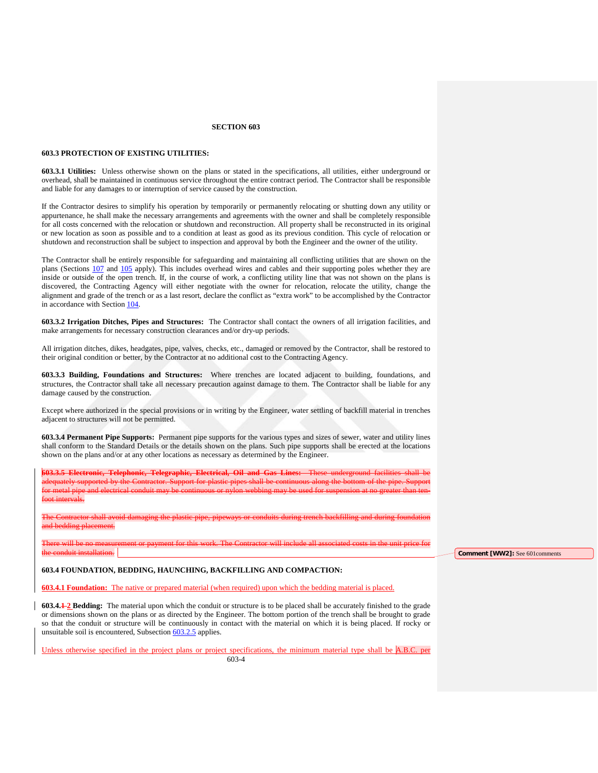## **603.3 PROTECTION OF EXISTING UTILITIES:**

**603.3.1 Utilities:** Unless otherwise shown on the plans or stated in the specifications, all utilities, either underground or overhead, shall be maintained in continuous service throughout the entire contract period. The Contractor shall be responsible and liable for any damages to or interruption of service caused by the construction.

If the Contractor desires to simplify his operation by temporarily or permanently relocating or shutting down any utility or appurtenance, he shall make the necessary arrangements and agreements with the owner and shall be completely responsible for all costs concerned with the relocation or shutdown and reconstruction. All property shall be reconstructed in its original or new location as soon as possible and to a condition at least as good as its previous condition. This cycle of relocation or shutdown and reconstruction shall be subject to inspection and approval by both the Engineer and the owner of the utility.

The Contractor shall be entirely responsible for safeguarding and maintaining all conflicting utilities that are shown on the plans (Sections 107 and 105 apply). This includes overhead wires and cables and their supporting poles whether they are inside or outside of the open trench. If, in the course of work, a conflicting utility line that was not shown on the plans is discovered, the Contracting Agency will either negotiate with the owner for relocation, relocate the utility, change the alignment and grade of the trench or as a last resort, declare the conflict as "extra work" to be accomplished by the Contractor in accordance with Section 104.

**603.3.2 Irrigation Ditches, Pipes and Structures:** The Contractor shall contact the owners of all irrigation facilities, and make arrangements for necessary construction clearances and/or dry-up periods.

All irrigation ditches, dikes, headgates, pipe, valves, checks, etc., damaged or removed by the Contractor, shall be restored to their original condition or better, by the Contractor at no additional cost to the Contracting Agency.

**603.3.3 Building, Foundations and Structures:** Where trenches are located adjacent to building, foundations, and structures, the Contractor shall take all necessary precaution against damage to them. The Contractor shall be liable for any damage caused by the construction.

Except where authorized in the special provisions or in writing by the Engineer, water settling of backfill material in trenches adjacent to structures will not be permitted.

**603.3.4 Permanent Pipe Supports:** Permanent pipe supports for the various types and sizes of sewer, water and utility lines shall conform to the Standard Details or the details shown on the plans. Such pipe supports shall be erected at the locations shown on the plans and/or at any other locations as necessary as determined by the Engineer.

**603.3.5 Electronic, Telephonic, Telegraphic, Electrical, Oil and Gas Lines:** These underground facilities shall be adequately supported by the Contractor. Support for plastic pipes shall be continuous along the bottom of the pipe. Support for metal pipe and electrical conduit may be continuous or nylon webbing may be used for suspension at no greater than tenfoot intervals.

The Contractor shall avoid damaging the plastic pipe, pipeways or conduits during trench backfilling and during foundation and bedding placement.

There will be no measurement or payment for this work. The Contractor will include all associated costs in the unit price for the conduit installation.

## **603.4 FOUNDATION, BEDDING, HAUNCHING, BACKFILLING AND COMPACTION:**

**603.4.1 Foundation:** The native or prepared material (when required) upon which the bedding material is placed.

**603.4.1 2 Bedding:** The material upon which the conduit or structure is to be placed shall be accurately finished to the grade or dimensions shown on the plans or as directed by the Engineer. The bottom portion of the trench shall be brought to grade so that the conduit or structure will be continuously in contact with the material on which it is being placed. If rocky or unsuitable soil is encountered, Subsection [603.2.5](#page-25-0) applies.

Unless otherwise specified in the project plans or project specifications, the minimum material type shall be A.B.C. per 603-4

**Comment [WW2]:** See 601comments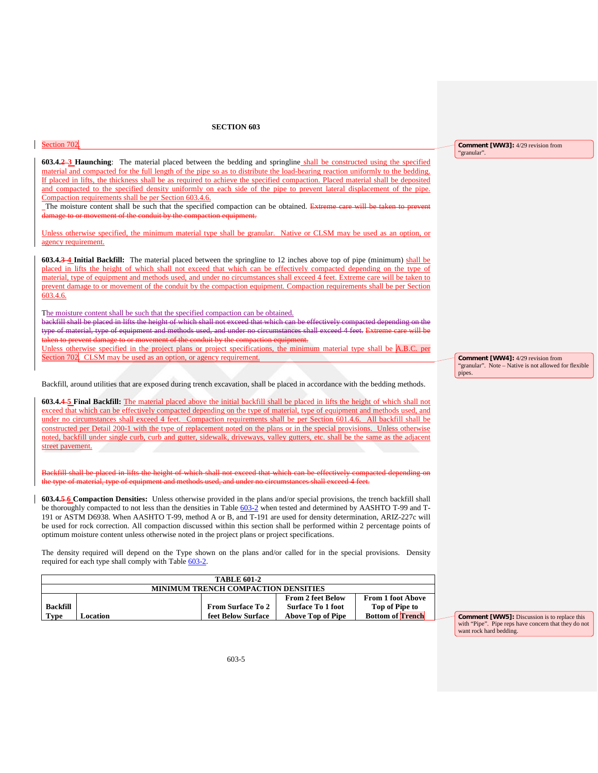| Section 702                                                                                                                                                                                                                                                  | <b>Comment [WW3]:</b> 4/29 revision from              |
|--------------------------------------------------------------------------------------------------------------------------------------------------------------------------------------------------------------------------------------------------------------|-------------------------------------------------------|
| 603.4.2-3 Haunching: The material placed between the bedding and springline shall be constructed using the specified                                                                                                                                         | "granular".                                           |
| material and compacted for the full length of the pipe so as to distribute the load-bearing reaction uniformly to the bedding.                                                                                                                               |                                                       |
| If placed in lifts, the thickness shall be as required to achieve the specified compaction. Placed material shall be deposited                                                                                                                               |                                                       |
| and compacted to the specified density uniformly on each side of the pipe to prevent lateral displacement of the pipe.                                                                                                                                       |                                                       |
| Compaction requirements shall be per Section 603.4.6.                                                                                                                                                                                                        |                                                       |
| The moisture content shall be such that the specified compaction can be obtained. Extreme care will be taken to prevent                                                                                                                                      |                                                       |
| damage to or movement of the conduit by the compaction equipment.                                                                                                                                                                                            |                                                       |
|                                                                                                                                                                                                                                                              |                                                       |
| Unless otherwise specified, the minimum material type shall be granular. Native or CLSM may be used as an option, or<br>agency requirement.                                                                                                                  |                                                       |
|                                                                                                                                                                                                                                                              |                                                       |
| 603.4.3-4 Initial Backfill: The material placed between the springline to 12 inches above top of pipe (minimum) shall be                                                                                                                                     |                                                       |
| placed in lifts the height of which shall not exceed that which can be effectively compacted depending on the type of                                                                                                                                        |                                                       |
| material, type of equipment and methods used, and under no circumstances shall exceed 4 feet. Extreme care will be taken to                                                                                                                                  |                                                       |
| prevent damage to or movement of the conduit by the compaction equipment. Compaction requirements shall be per Section                                                                                                                                       |                                                       |
| 603.4.6.                                                                                                                                                                                                                                                     |                                                       |
|                                                                                                                                                                                                                                                              |                                                       |
| The moisture content shall be such that the specified compaction can be obtained.<br>backfill shall be placed in lifts the height of which shall not exceed that which can be effectively compacted depending on the                                         |                                                       |
| type of material, type of equipment and methods used, and under no circumstances shall exceed 4 feet. Extreme care will be                                                                                                                                   |                                                       |
| taken to prevent damage to or movement of the conduit by the compaction equipment.                                                                                                                                                                           |                                                       |
| Unless otherwise specified in the project plans or project specifications, the minimum material type shall be A.B.C. per                                                                                                                                     |                                                       |
| Section 702. CLSM may be used as an option, or agency requirement.                                                                                                                                                                                           | <b>Comment [WW4]:</b> 4/29 revision from              |
|                                                                                                                                                                                                                                                              | "granular". Note - Native is not allowed for flexible |
|                                                                                                                                                                                                                                                              | pipes.                                                |
| Backfill, around utilities that are exposed during trench excavation, shall be placed in accordance with the bedding methods.                                                                                                                                |                                                       |
|                                                                                                                                                                                                                                                              |                                                       |
| 603.4.4-5 Final Backfill: The material placed above the initial backfill shall be placed in lifts the height of which shall not<br>exceed that which can be effectively compacted depending on the type of material, type of equipment and methods used, and |                                                       |
| under no circumstances shall exceed 4 feet. Compaction requirements shall be per Section 601.4.6. All backfill shall be                                                                                                                                      |                                                       |
| constructed per Detail 200-1 with the type of replacement noted on the plans or in the special provisions. Unless otherwise                                                                                                                                  |                                                       |
| noted, backfill under single curb, curb and gutter, sidewalk, driveways, valley gutters, etc. shall be the same as the adjacent                                                                                                                              |                                                       |
| street pavement.                                                                                                                                                                                                                                             |                                                       |
|                                                                                                                                                                                                                                                              |                                                       |
|                                                                                                                                                                                                                                                              |                                                       |
| Backfill shall be placed in lifts the height of which shall not exceed that which can be effectively compacted depending on                                                                                                                                  |                                                       |
| the type of material, type of equipment and methods used, and under no circumstances shall exceed 4 feet.                                                                                                                                                    |                                                       |
| 603.4.5-6 Compaction Densities: Unless otherwise provided in the plans and/or special provisions, the trench backfill shall                                                                                                                                  |                                                       |
| be thoroughly compacted to not less than the densities in Table 603-2 when tested and determined by AASHTO T-99 and T-                                                                                                                                       |                                                       |
| 191 or ASTM D6938. When AASHTO T-99, method A or B, and T-191 are used for density determination, ARIZ-227c will                                                                                                                                             |                                                       |
| be used for rock correction. All compaction discussed within this section shall be performed within 2 percentage points of                                                                                                                                   |                                                       |
| optimum moisture content unless otherwise noted in the project plans or project specifications.                                                                                                                                                              |                                                       |
|                                                                                                                                                                                                                                                              |                                                       |
| The density required will depend on the Type shown on the plans and/or called for in the special provisions. Density                                                                                                                                         |                                                       |
| required for each type shall comply with Table 603-2.                                                                                                                                                                                                        |                                                       |

<span id="page-28-0"></span>

| <b>TABLE 601-2</b>                         |          |                          |                          |                          |  |  |
|--------------------------------------------|----------|--------------------------|--------------------------|--------------------------|--|--|
| <b>MINIMUM TRENCH COMPACTION DENSITIES</b> |          |                          |                          |                          |  |  |
|                                            |          |                          | <b>From 2 feet Below</b> | <b>From 1 foot Above</b> |  |  |
| <b>Backfill</b>                            |          | <b>From Surface To 2</b> | <b>Surface To 1 foot</b> | Top of Pipe to           |  |  |
| <b>Type</b>                                | Location | feet Below Surface       | <b>Above Top of Pipe</b> | <b>Bottom of Trench</b>  |  |  |

**Comment [WW5]:** Discussion is to replace this with "Pipe". Pipe reps have concern that they do not want rock hard bedding.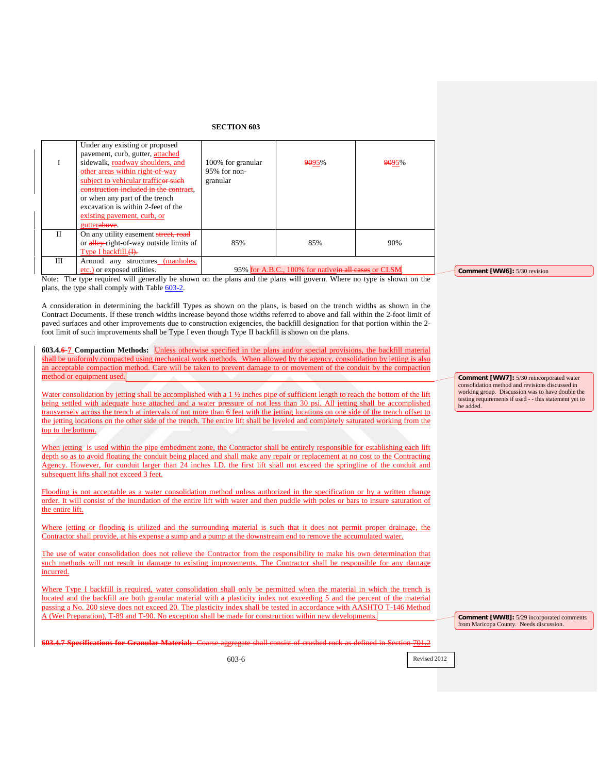|   | Under any existing or proposed<br>pavement, curb, gutter, attached                                                                                   |                                                     |       |       |
|---|------------------------------------------------------------------------------------------------------------------------------------------------------|-----------------------------------------------------|-------|-------|
|   | sidewalk, roadway shoulders, and<br>other areas within right-of-way<br>subject to vehicular trafficer such<br>construction included in the contract, | 100% for granular<br>95% for non-<br>granular       | 9095% | 9095% |
|   | or when any part of the trench<br>excavation is within 2-feet of the<br>existing payement, curb, or<br>gutterabove.                                  |                                                     |       |       |
| Н | On any utility easement street, road<br>or alley-right-of-way outside limits of<br>Type I backfill. (I).                                             | 85%                                                 | 85%   | 90%   |
| Ш | Around any structures (manholes,<br>etc.) or exposed utilities.                                                                                      | 95% for A.B.C., 100% for nativein all cases or CLSM |       |       |

Note: The type required will generally be shown on the plans and the plans will govern. Where no type is shown on the plans, the type shall comply with Tabl[e 603-2.](#page-28-0)

A consideration in determining the backfill Types as shown on the plans, is based on the trench widths as shown in the Contract Documents. If these trench widths increase beyond those widths referred to above and fall within the 2-foot limit of paved surfaces and other improvements due to construction exigencies, the backfill designation for that portion within the 2 foot limit of such improvements shall be Type I even though Type II backfill is shown on the plans.

**603.4.6 7 Compaction Methods:** Unless otherwise specified in the plans and/or special provisions, the backfill material shall be uniformly compacted using mechanical work methods. When allowed by the agency, consolidation by jetting is also an acceptable compaction method. Care will be taken to prevent damage to or movement of the conduit by the compaction method or equipment used.

Water consolidation by jetting shall be accomplished with a 1  $\frac{1}{2}$  inches pipe of sufficient length to reach the bottom of the lift being settled with adequate hose attached and a water pressure of not less than 30 psi. All jetting shall be accomplished transversely across the trench at intervals of not more than 6 feet with the jetting locations on one side of the trench offset to the jetting locations on the other side of the trench. The entire lift shall be leveled and completely saturated working from the top to the bottom.

When jetting is used within the pipe embedment zone, the Contractor shall be entirely responsible for establishing each lift depth so as to avoid floating the conduit being placed and shall make any repair or replacement at no cost to the Contracting Agency. However, for conduit larger than 24 inches I.D. the first lift shall not exceed the springline of the conduit and subsequent lifts shall not exceed 3 feet.

Flooding is not acceptable as a water consolidation method unless authorized in the specification or by a written change order. It will consist of the inundation of the entire lift with water and then puddle with poles or bars to insure saturation of the entire lift.

Where jetting or flooding is utilized and the surrounding material is such that it does not permit proper drainage, the Contractor shall provide, at his expense a sump and a pump at the downstream end to remove the accumulated water.

The use of water consolidation does not relieve the Contractor from the responsibility to make his own determination that such methods will not result in damage to existing improvements. The Contractor shall be responsible for any damage incurred.

Where Type I backfill is required, water consolidation shall only be permitted when the material in which the trench is located and the backfill are both granular material with a plasticity index not exceeding 5 and the percent of the material passing a No. 200 sieve does not exceed 20. The plasticity index shall be tested in accordance with AASHTO T-146 Method A (Wet Preparation), T-89 and T-90. No exception shall be made for construction within new developments.

**Comment [WW8]:** 5/29 incorporated comments from Maricopa County. Needs discussion.

**603.4.7 Specifications for Granular Material:** Coarse aggregate shall consist of crushed rock as defined in Section 701.2

603-6

Revised 2012

**Comment [WW7]:** 5/30 reincorporated water consolidation method and revisions discussed in working group. Discussion was to have double the testing requirements if used - - this statement yet to be added.

**Comment [WW6]:** 5/30 revision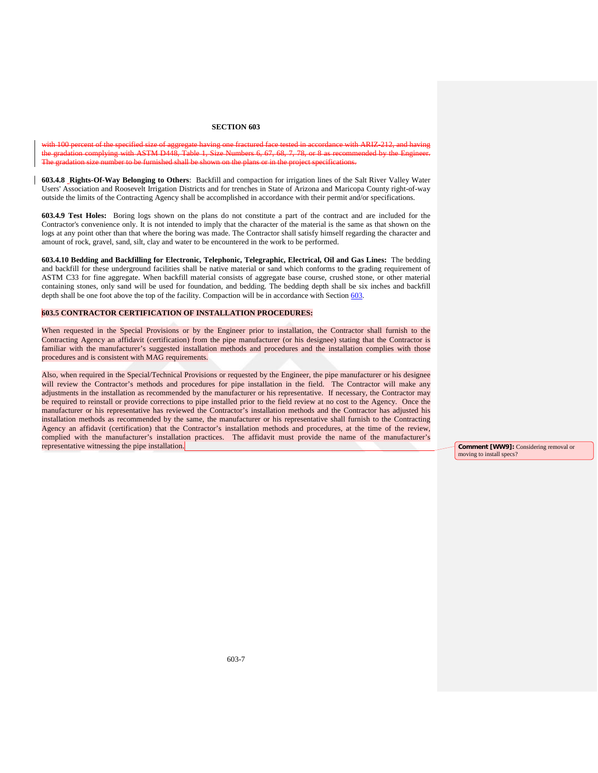with 100 percent of the specified size of aggregate having one fractured face tested in accordance with ARIZ-212, and having the gradation complying with ASTM D448, Table 1, Size Numbers 6, 67, 68, 7, 78, or 8 as recommended by the Engineer. The gradation size number to be furnished shall be shown on the plans or in the project specifications.

**603.4.8 Rights-Of-Way Belonging to Others**: Backfill and compaction for irrigation lines of the Salt River Valley Water Users' Association and Roosevelt Irrigation Districts and for trenches in State of Arizona and Maricopa County right-of-way outside the limits of the Contracting Agency shall be accomplished in accordance with their permit and/or specifications.

**603.4.9 Test Holes:** Boring logs shown on the plans do not constitute a part of the contract and are included for the Contractor's convenience only. It is not intended to imply that the character of the material is the same as that shown on the logs at any point other than that where the boring was made. The Contractor shall satisfy himself regarding the character and amount of rock, gravel, sand, silt, clay and water to be encountered in the work to be performed.

**603.4.10 Bedding and Backfilling for Electronic, Telephonic, Telegraphic, Electrical, Oil and Gas Lines:** The bedding and backfill for these underground facilities shall be native material or sand which conforms to the grading requirement of ASTM C33 for fine aggregate. When backfill material consists of aggregate base course, crushed stone, or other material containing stones, only sand will be used for foundation, and bedding. The bedding depth shall be six inches and backfill depth shall be one foot above the top of the facility. Compaction will be in accordance with Section 603.

## **603.5 CONTRACTOR CERTIFICATION OF INSTALLATION PROCEDURES:**

When requested in the Special Provisions or by the Engineer prior to installation, the Contractor shall furnish to the Contracting Agency an affidavit (certification) from the pipe manufacturer (or his designee) stating that the Contractor is familiar with the manufacturer's suggested installation methods and procedures and the installation complies with those procedures and is consistent with MAG requirements.

Also, when required in the Special/Technical Provisions or requested by the Engineer, the pipe manufacturer or his designee will review the Contractor's methods and procedures for pipe installation in the field. The Contractor will make any adjustments in the installation as recommended by the manufacturer or his representative. If necessary, the Contractor may be required to reinstall or provide corrections to pipe installed prior to the field review at no cost to the Agency. Once the manufacturer or his representative has reviewed the Contractor's installation methods and the Contractor has adjusted his installation methods as recommended by the same, the manufacturer or his representative shall furnish to the Contracting Agency an affidavit (certification) that the Contractor's installation methods and procedures, at the time of the review, complied with the manufacturer's installation practices. The affidavit must provide the name of the manufacturer's representative witnessing the pipe installation. **Comment [WW9]:** Considering removal or

moving to install specs?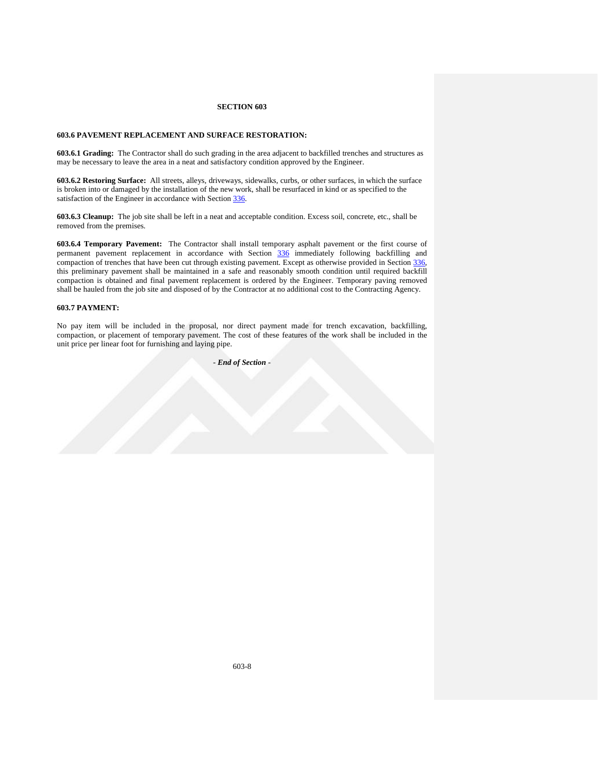## **603.6 PAVEMENT REPLACEMENT AND SURFACE RESTORATION:**

**603.6.1 Grading:** The Contractor shall do such grading in the area adjacent to backfilled trenches and structures as may be necessary to leave the area in a neat and satisfactory condition approved by the Engineer.

**603.6.2 Restoring Surface:** All streets, alleys, driveways, sidewalks, curbs, or other surfaces, in which the surface is broken into or damaged by the installation of the new work, shall be resurfaced in kind or as specified to the satisfaction of the Engineer in accordance with Section 336.

**603.6.3 Cleanup:** The job site shall be left in a neat and acceptable condition. Excess soil, concrete, etc., shall be removed from the premises.

**603.6.4 Temporary Pavement:** The Contractor shall install temporary asphalt pavement or the first course of permanent pavement replacement in accordance with Section 336 immediately following backfilling and compaction of trenches that have been cut through existing pavement. Except as otherwise provided in Section 336, this preliminary pavement shall be maintained in a safe and reasonably smooth condition until required backfill compaction is obtained and final pavement replacement is ordered by the Engineer. Temporary paving removed shall be hauled from the job site and disposed of by the Contractor at no additional cost to the Contracting Agency.

## **603.7 PAYMENT:**

No pay item will be included in the proposal, nor direct payment made for trench excavation, backfilling, compaction, or placement of temporary pavement. The cost of these features of the work shall be included in the unit price per linear foot for furnishing and laying pipe.

*- End of Section* -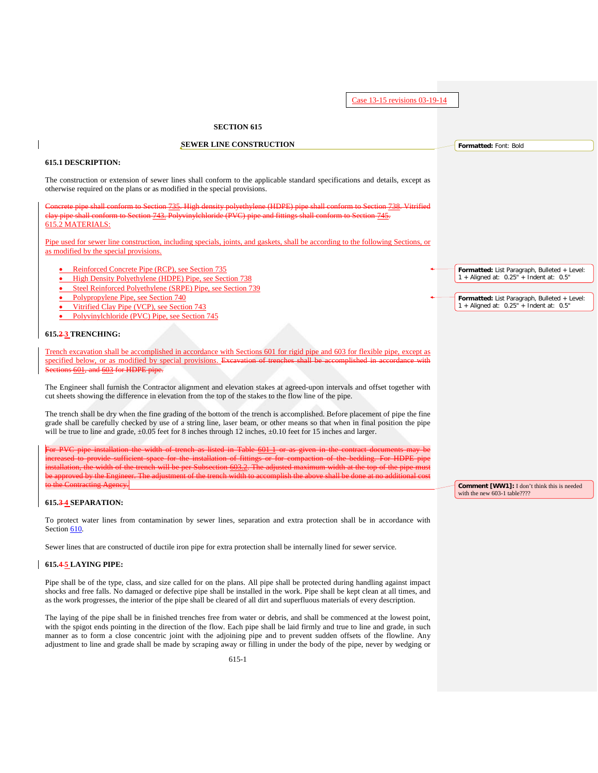**SECTION 615 SEWER LINE CONSTRUCTION 615.1 DESCRIPTION:** The construction or extension of sewer lines shall conform to the applicable standard specifications and details, except as otherwise required on the plans or as modified in the special provisions. ethvlene (HDPE) pip shall conform to Section 743. Polyvinylchloride (PVC) pipe and fittings shall conform to Section 745. 615.2 MATERIALS: Pipe used for sewer line construction, including specials, joints, and gaskets, shall be according to the following Sections, or as modified by the special provisions. • Reinforced Concrete Pipe (RCP), see Section 735 • High Density Polyethylene (HDPE) Pipe, see Section 738 • Steel Reinforced Polyethylene (SRPE) Pipe, see Section 739 • Polypropylene Pipe, see Section 740 • Vitrified Clay Pipe (VCP), see Section 743 • Polyvinylchloride (PVC) Pipe, see Section 745 **615.2 3 TRENCHING:** Trench excavation shall be accomplished in accordance with Sections 601 for rigid pipe and 603 for flexible pipe, except as specified below, or as modified by special provisions. Excavation of trenches shall be ections 601, and 603 for HDPE pipe. The Engineer shall furnish the Contractor alignment and elevation stakes at agreed-upon intervals and offset together with cut sheets showing the difference in elevation from the top of the stakes to the flow line of the pipe. The trench shall be dry when the fine grading of the bottom of the trench is accomplished. Before placement of pipe the fine grade shall be carefully checked by use of a string line, laser beam, or other means so that when in final position the pipe will be true to line and grade,  $\pm 0.05$  feet for 8 inches through 12 inches,  $\pm 0.10$  feet for 15 inches and larger. For PVC pipe installation the width of trench as listed in Table 601 1 or as given in the contract documents may be increased to provide sufficient space for the installation of fittings or for compaction of the bedding. For HDPE pipe installation, the width of the trench will be per Subsection 603.2. The adjusted maximum width at the top of the pipe must be approved by the Engineer. The adjustment of the trench width to accomplish the above shall be done at no additional cost to the Contracting Agency. **615.3 4 SEPARATION:** To protect water lines from contamination by sewer lines, separation and extra protection shall be in accordance with Section 610. Sewer lines that are constructed of ductile iron pipe for extra protection shall be internally lined for sewer service. **615.4 5 LAYING PIPE:** Pipe shall be of the type, class, and size called for on the plans. All pipe shall be protected during handling against impact shocks and free falls. No damaged or defective pipe shall be installed in the work. Pipe shall be kept clean at all times, and as the work progresses, the interior of the pipe shall be cleared of all dirt and superfluous materials of every description. The laying of the pipe shall be in finished trenches free from water or debris, and shall be commenced at the lowest point, Case 13-15 revisions 03-19-14 **Formatted:** Font: Bold Formatted: List Paragraph, Bulleted + Level:<br>1 + Aligned at: 0.25" + Indent at: 0.5" **Formatted:** List Paragraph, Bulleted + Level: 1 + Aligned at: 0.25" + Indent at: 0.5" **Comment [WW1]:** I don't think this is needed with the new 603-1 table????

with the spigot ends pointing in the direction of the flow. Each pipe shall be laid firmly and true to line and grade, in such manner as to form a close concentric joint with the adjoining pipe and to prevent sudden offsets of the flowline. Any adjustment to line and grade shall be made by scraping away or filling in under the body of the pipe, never by wedging or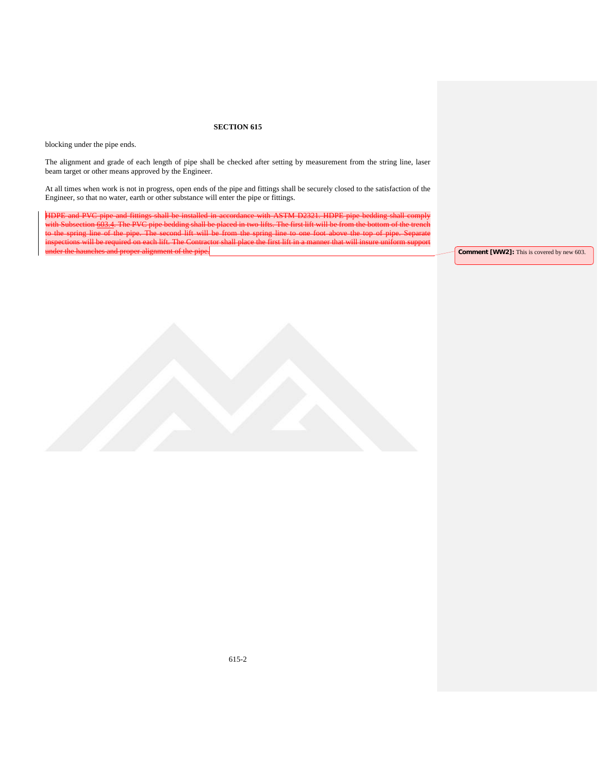blocking under the pipe ends.

The alignment and grade of each length of pipe shall be checked after setting by measurement from the string line, laser beam target or other means approved by the Engineer.

At all times when work is not in progress, open ends of the pipe and fittings shall be securely closed to the satisfaction of the Engineer, so that no water, earth or other substance will enter the pipe or fittings.

HDPE and PVC pipe and fittings shall be installed in accordance with ASTM D2321. HDPE pipe bedding shall comply with Subsection 603.4. The PVC pipe bedding shall be placed in two lifts. The first lift will be from the bottom of the trench to the spring line of the pipe. The second lift will be from the spring line to one foot above the top of pipe. Separate inspections will be required on each lift. The Contractor shall place the first lift in a manner that will insure uniform support

**Comment [WW2]:** This is covered by new 603.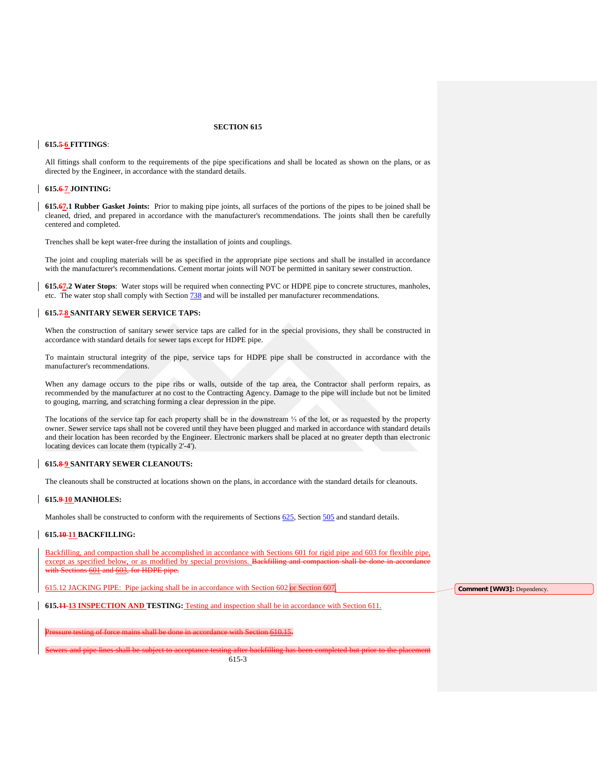### **615.5 6 FITTINGS**:

All fittings shall conform to the requirements of the pipe specifications and shall be located as shown on the plans, or as directed by the Engineer, in accordance with the standard details.

## **615.6 7 JOINTING:**

**615.67.1 Rubber Gasket Joints:** Prior to making pipe joints, all surfaces of the portions of the pipes to be joined shall be cleaned, dried, and prepared in accordance with the manufacturer's recommendations. The joints shall then be carefully centered and completed.

Trenches shall be kept water-free during the installation of joints and couplings.

The joint and coupling materials will be as specified in the appropriate pipe sections and shall be installed in accordance with the manufacturer's recommendations. Cement mortar joints will NOT be permitted in sanitary sewer construction.

**615.67.2 Water Stops**: Water stops will be required when connecting PVC or HDPE pipe to concrete structures, manholes, etc. The water stop shall comply with Section 738 and will be installed per manufacturer recommendations.

### **615.7 8 SANITARY SEWER SERVICE TAPS:**

When the construction of sanitary sewer service taps are called for in the special provisions, they shall be constructed in accordance with standard details for sewer taps except for HDPE pipe.

To maintain structural integrity of the pipe, service taps for HDPE pipe shall be constructed in accordance with the manufacturer's recommendations.

When any damage occurs to the pipe ribs or walls, outside of the tap area, the Contractor shall perform repairs, as recommended by the manufacturer at no cost to the Contracting Agency. Damage to the pipe will include but not be limited to gouging, marring, and scratching forming a clear depression in the pipe.

The locations of the service tap for each property shall be in the downstream ⅓ of the lot, or as requested by the property owner. Sewer service taps shall not be covered until they have been plugged and marked in accordance with standard details and their location has been recorded by the Engineer. Electronic markers shall be placed at no greater depth than electronic locating devices can locate them (typically 2'-4').

#### **615.8 9 SANITARY SEWER CLEANOUTS:**

The cleanouts shall be constructed at locations shown on the plans, in accordance with the standard details for cleanouts.

### **615.9 10 MANHOLES:**

Manholes shall be constructed to conform with the requirements of Sections 625, Section 505 and standard details.

## **615.10 11 BACKFILLING:**

Backfilling, and compaction shall be accomplished in accordance with Sections 601 for rigid pipe and 603 for flexible pipe, except as specified below, or as modified by special provisions. Backfilling 601 and 603, for HDPE pipe.

615.12 JACKING PIPE: Pipe jacking shall be in accordance with Section 602 or Section 607.

**Comment [WW3]:** Dependency.

**615.11 13 INSPECTION AND TESTING:** Testing and inspection shall be in accordance with Section 611.

in accordance with Section 610.15

Sewers and pipe lines shall be subject to acceptance testing after backfilling has been completed but prior to the placement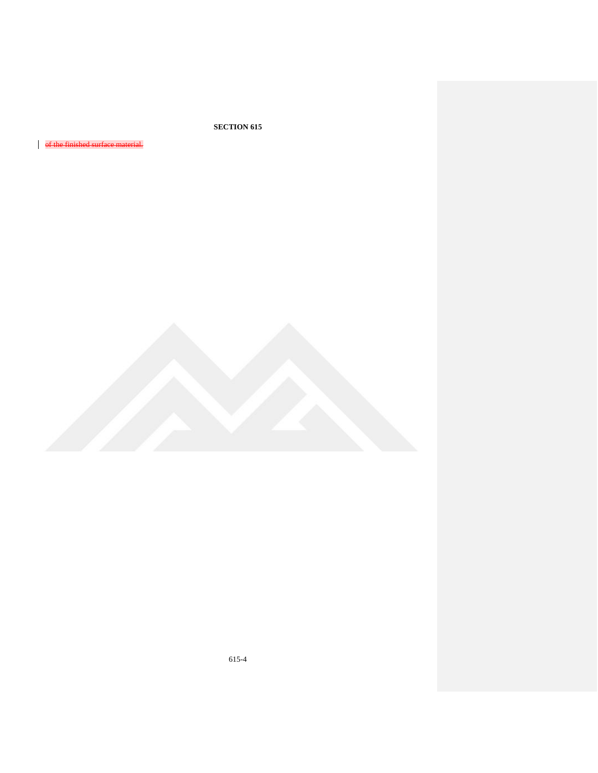of the finished surface mat

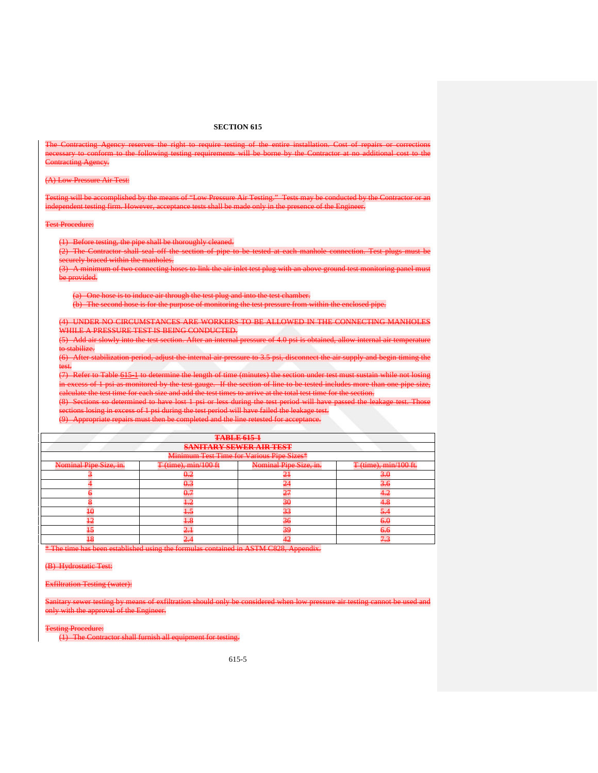| The Contracting Agency reserves the right to require testing of the entire installation. Cost of repairs or corrections<br>necessary to conform to the following testing requirements will be borne by the Contractor at no additional cost to the<br><b>Contracting Agency.</b> |                                                                                                                             |                                                                                                                             |                       |  |  |  |  |  |
|----------------------------------------------------------------------------------------------------------------------------------------------------------------------------------------------------------------------------------------------------------------------------------|-----------------------------------------------------------------------------------------------------------------------------|-----------------------------------------------------------------------------------------------------------------------------|-----------------------|--|--|--|--|--|
| (A) Low Pressure Air Test:                                                                                                                                                                                                                                                       |                                                                                                                             |                                                                                                                             |                       |  |  |  |  |  |
| Testing will be accomplished by the means of "Low Pressure Air Testing." Tests may be conducted by the Contractor or an<br>independent testing firm. However, acceptance tests shall be made only in the presence of the Engineer.                                               |                                                                                                                             |                                                                                                                             |                       |  |  |  |  |  |
| <b>Test Procedure:</b>                                                                                                                                                                                                                                                           |                                                                                                                             |                                                                                                                             |                       |  |  |  |  |  |
|                                                                                                                                                                                                                                                                                  | (1) Before testing, the pipe shall be thoroughly eleaned.                                                                   |                                                                                                                             |                       |  |  |  |  |  |
|                                                                                                                                                                                                                                                                                  |                                                                                                                             | (2) The Contractor shall seal off the section of pipe to be tested at each manhole connection. Test plugs must be           |                       |  |  |  |  |  |
| securely braced within the manholes.                                                                                                                                                                                                                                             |                                                                                                                             |                                                                                                                             |                       |  |  |  |  |  |
|                                                                                                                                                                                                                                                                                  |                                                                                                                             | (3) A minimum of two connecting hoses to link the air inlet test plug with an above ground test monitoring panel must       |                       |  |  |  |  |  |
| be provided.                                                                                                                                                                                                                                                                     |                                                                                                                             |                                                                                                                             |                       |  |  |  |  |  |
|                                                                                                                                                                                                                                                                                  |                                                                                                                             |                                                                                                                             |                       |  |  |  |  |  |
| (a) One hose is to induce air through the test plug and into the test chamber.<br>(b) The second hose is for the purpose of monitoring the test pressure from within the enclosed pipe.                                                                                          |                                                                                                                             |                                                                                                                             |                       |  |  |  |  |  |
|                                                                                                                                                                                                                                                                                  |                                                                                                                             |                                                                                                                             |                       |  |  |  |  |  |
| (4) UNDER NO CIRCUMSTANCES ARE WORKERS TO BE ALLOWED IN THE CONNECTING MANHOLES                                                                                                                                                                                                  |                                                                                                                             |                                                                                                                             |                       |  |  |  |  |  |
| WHILE A PRESSURE TEST IS BEING CONDUCTED.                                                                                                                                                                                                                                        |                                                                                                                             |                                                                                                                             |                       |  |  |  |  |  |
|                                                                                                                                                                                                                                                                                  | (5) Add air slowly into the test section. After an internal pressure of 4.0 psi is obtained, allow internal air temperature |                                                                                                                             |                       |  |  |  |  |  |
| to stabilize.                                                                                                                                                                                                                                                                    |                                                                                                                             |                                                                                                                             |                       |  |  |  |  |  |
|                                                                                                                                                                                                                                                                                  |                                                                                                                             | (6) After stabilization period, adjust the internal air pressure to 3.5 psi, disconnect the air supply and begin timing the |                       |  |  |  |  |  |
| test.                                                                                                                                                                                                                                                                            |                                                                                                                             |                                                                                                                             |                       |  |  |  |  |  |
|                                                                                                                                                                                                                                                                                  |                                                                                                                             | (7) Refer to Table 615 1 to determine the length of time (minutes) the section under test must sustain while not losing     |                       |  |  |  |  |  |
|                                                                                                                                                                                                                                                                                  |                                                                                                                             | in excess of 1 psi as monitored by the test gauge. If the section of line to be tested includes more than one pipe size,    |                       |  |  |  |  |  |
|                                                                                                                                                                                                                                                                                  |                                                                                                                             | calculate the test time for each size and add the test times to arrive at the total test time for the section.              |                       |  |  |  |  |  |
|                                                                                                                                                                                                                                                                                  |                                                                                                                             | (8) Sections so determined to have lost 1 psi or less during the test period will have passed the leakage test. Those       |                       |  |  |  |  |  |
|                                                                                                                                                                                                                                                                                  | sections losing in excess of 1 psi during the test period will have failed the leakage test.                                |                                                                                                                             |                       |  |  |  |  |  |
|                                                                                                                                                                                                                                                                                  | (9) Appropriate repairs must then be completed and the line retested for acceptance.                                        |                                                                                                                             |                       |  |  |  |  |  |
|                                                                                                                                                                                                                                                                                  |                                                                                                                             |                                                                                                                             |                       |  |  |  |  |  |
|                                                                                                                                                                                                                                                                                  |                                                                                                                             | <b>TABLE 615-1</b>                                                                                                          |                       |  |  |  |  |  |
|                                                                                                                                                                                                                                                                                  |                                                                                                                             | <b>SANITARY SEWER AIR TEST</b>                                                                                              |                       |  |  |  |  |  |
|                                                                                                                                                                                                                                                                                  |                                                                                                                             | Minimum Test Time for Various Pipe Sizes*                                                                                   |                       |  |  |  |  |  |
| Nominal Pipe Size, in.                                                                                                                                                                                                                                                           | T (time), min/100 ft                                                                                                        | Nominal Pipe Size, in.                                                                                                      | T (time), min/100 ft. |  |  |  |  |  |
| 3                                                                                                                                                                                                                                                                                | 0.2                                                                                                                         | $\overline{21}$                                                                                                             | 3.0                   |  |  |  |  |  |
| 4<br>$\overline{\theta}$                                                                                                                                                                                                                                                         | 0.3<br>0.7                                                                                                                  | $\overline{24}$<br>$\overline{27}$                                                                                          | 3.6<br>4.2            |  |  |  |  |  |
| $\overline{\mathbf{8}}$                                                                                                                                                                                                                                                          | $+2$                                                                                                                        | $\overline{30}$                                                                                                             | 4.8                   |  |  |  |  |  |
| $\overline{40}$                                                                                                                                                                                                                                                                  | $+5$                                                                                                                        | 33                                                                                                                          | 5.4                   |  |  |  |  |  |
| $\overline{12}$                                                                                                                                                                                                                                                                  | 4.8                                                                                                                         | 36                                                                                                                          |                       |  |  |  |  |  |
| $\overline{15}$                                                                                                                                                                                                                                                                  | 2.1                                                                                                                         | 39                                                                                                                          | 6.0<br>6.6            |  |  |  |  |  |
| 18                                                                                                                                                                                                                                                                               | $2\overline{4}$                                                                                                             | 42                                                                                                                          | 7.3                   |  |  |  |  |  |
|                                                                                                                                                                                                                                                                                  |                                                                                                                             |                                                                                                                             |                       |  |  |  |  |  |

\* The time has been established using the formulas contained in ASTM C828, Appendix.

(B) Hydrostatic Test:

Exfiltration Testing (water):

filtration should only be considered when low pressure air testing cannot be used and ith the approval of the Engineer.

ng Procedure:

(1) The Contractor shall furnish all equipment for testing.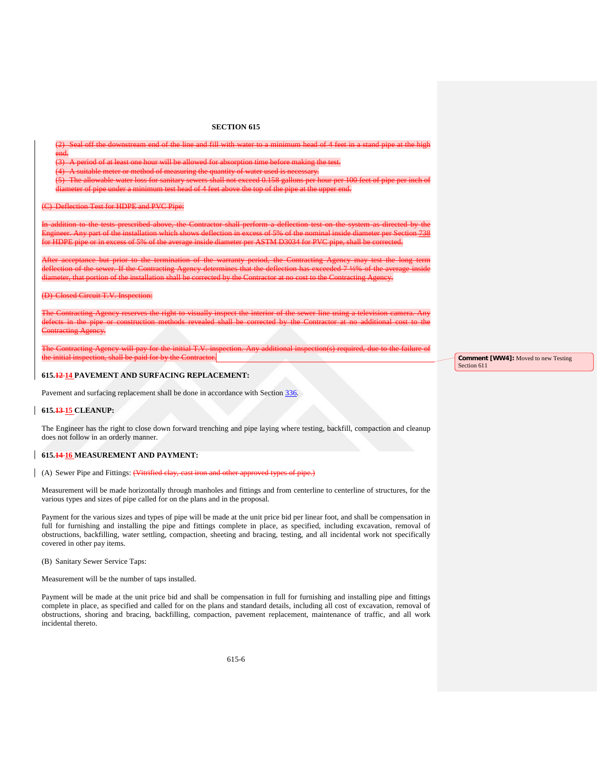(2) Seal off the downstream end of the line and fill with water to a minimum head of 4 feet in a stand pipe at the high end.

(3) A period of at least one hour will be allowed for absorption time before making the test.

(4) A suitable meter or method of measuring the quantity of water used is necessary.

(5) The allowable water loss for sanitary sewers shall not exceed 0.158 gallons per hour per 100 feet of pipe per inch of diameter of pipe under a minimum test head of 4 feet above the top of the pipe at the upper end.

(C) Deflection Test for HDPE and PVC Pipe:

In addition to the tests prescribed above, the Contractor shall perform a deflection test on the system as directed by the Engineer. Any part of the installation which shows deflection in excess of 5% of the nominal inside diameter per Section 738 for HDPE pipe or in excess of 5% of the average inside diameter per ASTM D3034 for PVC pipe, shall be corrected.

After acceptance but prior to the termination of the warranty period, the Contracting Agency may test the long term deflection of the sewer. If the Contracting Agency determines that the deflection has exceeded 7 ½% of the average inside diameter, that portion of the installation shall be corrected by the Contractor at no cost to the Contracting Agency.

#### (D) Closed Circuit T.V. Inspection:

The Contracting Agency reserves the right to visually inspect the interior of the sewer line using a television camera. Any defects in the pipe or construction methods revealed shall be corrected by the Contractor at no additional cost to the Contracting Agency.

The Contracting Agency will pay for the initial T.V. inspection. Any additional inspection(s) required, due to the failure of the initial inspection, shall be paid for by the Contractor.

## **615.12 14 PAVEMENT AND SURFACING REPLACEMENT:**

Pavement and surfacing replacement shall be done in accordance with Section 336.

### **615.13 15 CLEANUP:**

The Engineer has the right to close down forward trenching and pipe laying where testing, backfill, compaction and cleanup does not follow in an orderly manner.

## **615.14 16 MEASUREMENT AND PAYMENT:**

(A) Sewer Pipe and Fittings: (Vitrified clay, cast iron and other approved types of pipe.)

Measurement will be made horizontally through manholes and fittings and from centerline to centerline of structures, for the various types and sizes of pipe called for on the plans and in the proposal.

Payment for the various sizes and types of pipe will be made at the unit price bid per linear foot, and shall be compensation in full for furnishing and installing the pipe and fittings complete in place, as specified, including excavation, removal of obstructions, backfilling, water settling, compaction, sheeting and bracing, testing, and all incidental work not specifically covered in other pay items.

(B) Sanitary Sewer Service Taps:

Measurement will be the number of taps installed.

Payment will be made at the unit price bid and shall be compensation in full for furnishing and installing pipe and fittings complete in place, as specified and called for on the plans and standard details, including all cost of excavation, removal of obstructions, shoring and bracing, backfilling, compaction, pavement replacement, maintenance of traffic, and all work incidental thereto.

**Comment [WW4]:** Moved to new Testing Section 611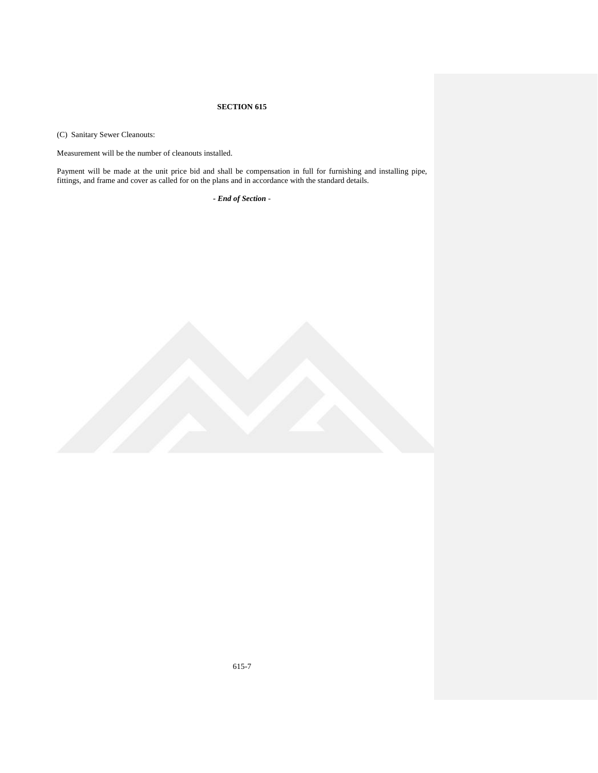(C) Sanitary Sewer Cleanouts:

Measurement will be the number of cleanouts installed.

Payment will be made at the unit price bid and shall be compensation in full for furnishing and installing pipe, fittings, and frame and cover as called for on the plans and in accordance with the standard details.

*- End of Section* -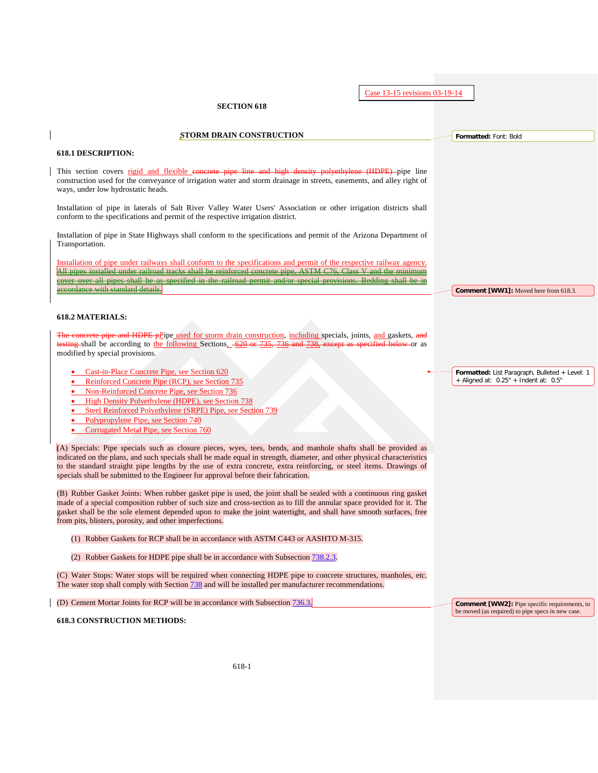Case 13-15 revisions 03-19-14

## **SECTION 618**

**STORM DRAIN CONSTRUCTION**

## **618.1 DESCRIPTION:**

This section covers rigid and flexible concrete pipe line and high density polyethylene (HDPE) pipe line construction used for the conveyance of irrigation water and storm drainage in streets, easements, and alley right of ways, under low hydrostatic heads.

Installation of pipe in laterals of Salt River Valley Water Users' Association or other irrigation districts shall conform to the specifications and permit of the respective irrigation district.

Installation of pipe in State Highways shall conform to the specifications and permit of the Arizona Department of Transportation.

Installation of pipe under railways shall conform to the specifications and permit of the respective railway agency. All pipes installed under railroad tracks shall be reinforced concrete pipe, ASTM C76, Class V and the minimum cover over all pipes shall be as specified in the railroad permit ordance with standard details.

## **618.2 MATERIALS:**

The concrete persume and HDPE pPipe used for storm drain construction, including specials, joints, and gaskets, and tring shall be according to the following Sections, 620 or modified by special provisions.

- Cast-in-Place Concrete Pipe, see Section 620
- Reinforced Concrete Pipe (RCP), see Section 735
- Non-Reinforced Concrete Pipe, see Section 736
- High Density Polyethylene (HDPE), see Section 738
- Steel Reinforced Polyethylene (SRPE) Pipe, see Section 739
- Polypropylene Pipe, see Section 740
- Corrugated Metal Pipe, see Section 760

(A) Specials: Pipe specials such as closure pieces, wyes, tees, bends, and manhole shafts shall be provided as indicated on the plans, and such specials shall be made equal in strength, diameter, and other physical characteristics to the standard straight pipe lengths by the use of extra concrete, extra reinforcing, or steel items. Drawings of specials shall be submitted to the Engineer for approval before their fabrication.

(B) Rubber Gasket Joints: When rubber gasket pipe is used, the joint shall be sealed with a continuous ring gasket made of a special composition rubber of such size and cross-section as to fill the annular space provided for it. The gasket shall be the sole element depended upon to make the joint watertight, and shall have smooth surfaces, free from pits, blisters, porosity, and other imperfections.

- (1) Rubber Gaskets for RCP shall be in accordance with ASTM C443 or AASHTO M-315.
- (2) Rubber Gaskets for HDPE pipe shall be in accordance with Subsection 738.2.3.

(C) Water Stops: Water stops will be required when connecting HDPE pipe to concrete structures, manholes, etc. The water stop shall comply with Section  $738$  and will be installed per manufacturer recommendations.

(D) Cement Mortar Joints for RCP will be in accordance with Subsection 736.3.

**618.3 CONSTRUCTION METHODS:**

**Formatted:** List Paragraph, Bulleted + Level: 1 + Aligned at: 0.25" + Indent at: 0.5"

**Comment [WW1]:** Moved here from 618.3.

**Formatted:** Font: Bold

**Comment [WW2]:** Pipe specific requirements, to be moved (as required) to pipe specs in new case.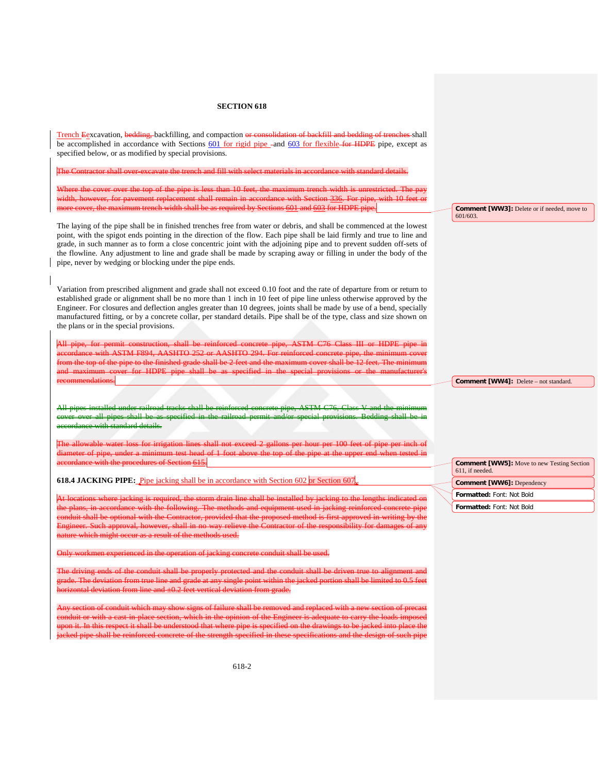Trench Egxcavation, bedding, backfilling, and compaction or consolidation of backfill and bedding of trenches shall be accomplished in accordance with Sections 601 for rigid pipe -and 603 for flexible for HDPE pipe, except as specified below, or as modified by special provisions.

The Contractor shall over-excavate the trench and fill with select materials in accordance with standard details.

over the top of the pipe is less than 10 feet, the maximum trench width is unrestricted. width, however, for pavement replacement shall remain in accordance with Section 336. For pipe, with 10 feet or more cover, the maximum trench width shall be as required by Sections 601 and 603 for HDPE pipe.

The laying of the pipe shall be in finished trenches free from water or debris, and shall be commenced at the lowest point, with the spigot ends pointing in the direction of the flow. Each pipe shall be laid firmly and true to line and grade, in such manner as to form a close concentric joint with the adjoining pipe and to prevent sudden off-sets of the flowline. Any adjustment to line and grade shall be made by scraping away or filling in under the body of the pipe, never by wedging or blocking under the pipe ends.

Variation from prescribed alignment and grade shall not exceed 0.10 foot and the rate of departure from or return to established grade or alignment shall be no more than 1 inch in 10 feet of pipe line unless otherwise approved by the Engineer. For closures and deflection angles greater than 10 degrees, joints shall be made by use of a bend, specially manufactured fitting, or by a concrete collar, per standard details. Pipe shall be of the type, class and size shown on the plans or in the special provisions.

All pipe, for permit construction, shall be reinforced concrete pipe, ASTM C76 Class III or HDPE pipe in accordance with ASTM F894, AASHTO 252 or AASHTO 294. For reinforced concrete pipe, the minimum cover from the top of the pipe to the finished grade shall be 2 feet and the maximum cover shall be 12 feet. The minimum and maximum cover for HDPE pipe shall be as specified in the special provisions or the manufacturer's recommendations.

All pipes installed under railroad tracks shall be reinforced concrete pipe, ASTM C76, Class V and the minimum cover over all pipes shall be as specified in the railroad permit and/or special provisions. Bedding shall be in accordance with standard details.

The allowable water loss for irrigation lines shall not exceed 2 gallons per hour per 100 feet of pipe per inch of diameter of pipe, under a minimum test head of 1 foot above the top of the pipe at the upper end when tested in accordance with the procedures of Section 615.

**618.4 JACKING PIPE:** Pipe jacking shall be in accordance with Section 602 or Section 607

At locations where jacking is required, the storm drain line shall be installed by jacking to the lengths indicated on the plans, in accordance with the following. The methods and equipment used in jacking reinforced concrete pipe conduit shall be optional with the Contractor, provided that the proposed method is first approved in writing by the Engineer. Such approval, however, shall in no way relieve the Contractor of the responsibility for damages of any nature which might occur as a result of the methods used.

Only workmen experienced in the operation of jacking concrete conduit shall be used.

and the conduit shall be grade. The deviation from true line and grade at any single point within the jacked portion shall be limited to 0.5 feet htal deviation from line and  $\pm 0.2$  feet vertical deviation from g

Any section of conduit which may show signs of failure shall be removed and replaced with a new section of precast conduit or with a cast-in-place section, which in the opinion of the Engineer is adequate to carry the loads imposed upon it. In this respect it shall be understood that where pipe is specified on the drawings to be jacked into place the jacked pipe shall be reinforced concrete of the strength specified in these specifications and the design of such pipe

**Comment [WW3]:** Delete or if needed, move to 601/603.

**Comment [WW4]:** Delete – not standard.

**Comment [WW5]:** Move to new Testing Section 611, if needed.

- **Comment [WW6]:** Dependency
- **Formatted:** Font: Not Bold
- **Formatted:** Font: Not Bold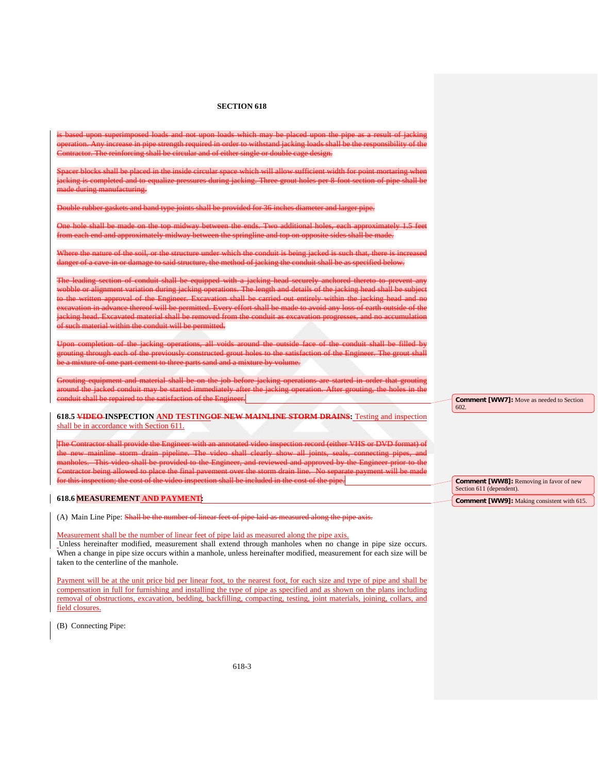l upon superimposed loads and not upon loads which may be pla Any increase in pipe strength required in order to withstand jacking loads shall be the responsibility of the einforcing shall be circular and of either single or double cage design.

shall be placed in the inside circular space which will allow is completed and to equalize pressures during jacking. Three grout holes per 8-fo nde during manufacturing.

and band type joints shall be provided for 36 inches di-

hole shall be made on the top midway between the ends. Two additional holes, each ap from each end and approximately midway between the springline and top on opposite sides shall be made.

Where the nature of the soil, or the structure under which the conduit is being jacked is such that, there is increased r of a cave-in or damage to said structure, the method of jacking the conduit shall be as specified below.

section of conduit shall be equipped with a jacking head securely anchored thereto or alignment variation during jacking operations. The length and details of the jacking head shall be<br>vritten approval of the Engineer. Excavation shall be carried out entirely within the jacking head ation shall be carried out entirely within the jacking head on in advance thereof will be permitted. Every effort shall be made to avoid any loss of earth ead. Excavated material shall be removed from the conduit as excav duit will be p

tion of the jacking operations, all voids around the outside face of the conduit shall be filled by mough each of the previously constructed grout holes to the satisfaction of the Engineer. of one part cement to three parts sand and a mixture by volu

nent and material shall be on the job before jacking op jacked conduit may be started immediately after the jacking operation. After grouting, the holes in the conduit shall be repaired to the satisfaction of the Engineer.

**618.5 VIDEO INSPECTION AND TESTINGOF NEW MAINLINE STORM DRAINS:** Testing and inspection shall be in accordance with Section 611.

The Contractor shall provide the Engineer with an annotated video inspection record (either VHS or DVD format) of mainline storm drain pipeline. The video shall clearly show all joints, seals, connecting<br>This video shall be provided to the Engineer, and reviewed and approved by the Engineer This video shall be provided to the Engineer, and reviewing allowed to place the final pavement over the stor Contractor being allowed to place the final pavement over the storm drain line. No separate payment will be made for this inspection; the cost of the video inspection shall be included in the cost of the pipe.

## **618.6 MEASUREMENT AND PAYMENT:**

(A) Main Line Pipe: Shall be the number of linear feet of pipe laid as measured along the pipe axis.

### Measurement shall be the number of linear feet of pipe laid as measured along the pipe axis.

Unless hereinafter modified, measurement shall extend through manholes when no change in pipe size occurs. When a change in pipe size occurs within a manhole, unless hereinafter modified, measurement for each size will be taken to the centerline of the manhole.

Payment will be at the unit price bid per linear foot, to the nearest foot, for each size and type of pipe and shall be compensation in full for furnishing and installing the type of pipe as specified and as shown on the plans including removal of obstructions, excavation, bedding, backfilling, compacting, testing, joint materials, joining, collars, and field closures.

(B) Connecting Pipe:

**Comment [WW7]:** Move as needed to Section 602.

**Comment [WW8]:** Removing in favor of new Section 611 (dependent). **Comment [WW9]:** Making consistent with 615.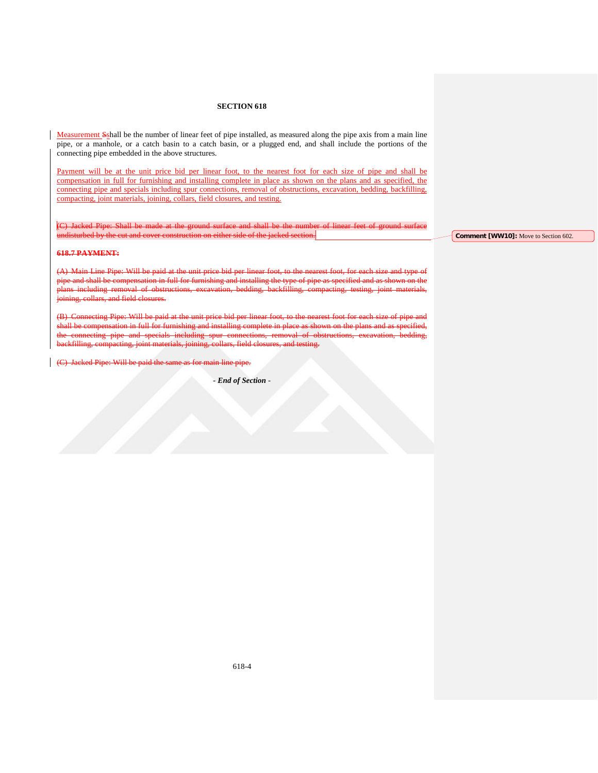Measurement Sshall be the number of linear feet of pipe installed, as measured along the pipe axis from a main line pipe, or a manhole, or a catch basin to a catch basin, or a plugged end, and shall include the portions of the connecting pipe embedded in the above structures.

Payment will be at the unit price bid per linear foot, to the nearest foot for each size of pipe and shall be compensation in full for furnishing and installing complete in place as shown on the plans and as specified, the connecting pipe and specials including spur connections, removal of obstructions, excavation, bedding, backfilling, compacting, joint materials, joining, collars, field closures, and testing.

(C) Jacked Pipe: Shall be made at the ground surface and shall be the number of linear feet of ground surface undisturbed by the cut and cover construction on either side of the  $\frac{1}{2}$ 

# **618.7 PAYMENT:**

in Line Pipe: Will be paid at the unit price id shall be compensation in full for furnishing and installing the type of pipe as specified planting removal of obstructions, excavations, excavation, backfilling, testing, testing, testing, i<br>https://www.filling.com/pacting, joint materials, joint materials, joint materials, in the materials, in the m and field closures

eting Pipe: Will be paid shall be compensation in full for furnishing and installing complete in place as shown on the plans and as specified, the connecting pipe and specials including spur connections, removal of obstructions, excavation, bedding, backfilling, compacting, joint materials, joining, collars, field closures, and testing.

acked Pipe: Will be paid the same as for main line pipe.

*- End of Section* -

**Comment [WW10]:** Move to Section 602.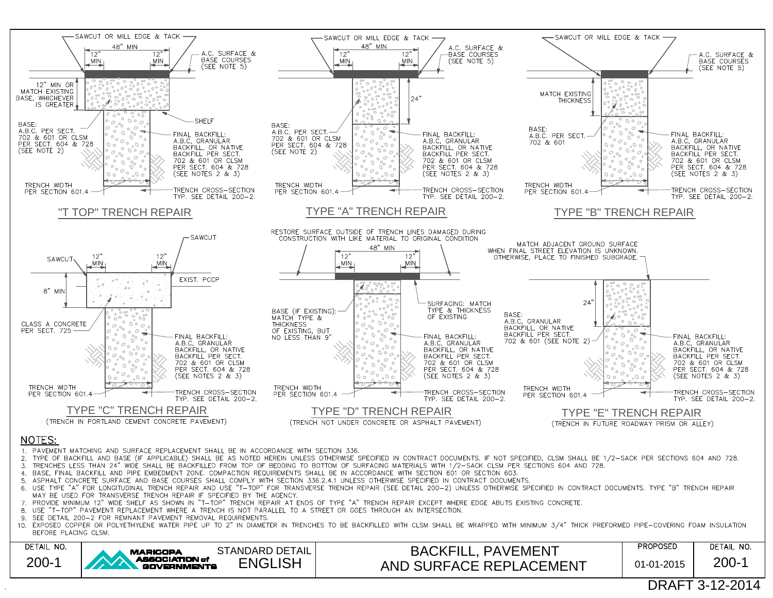